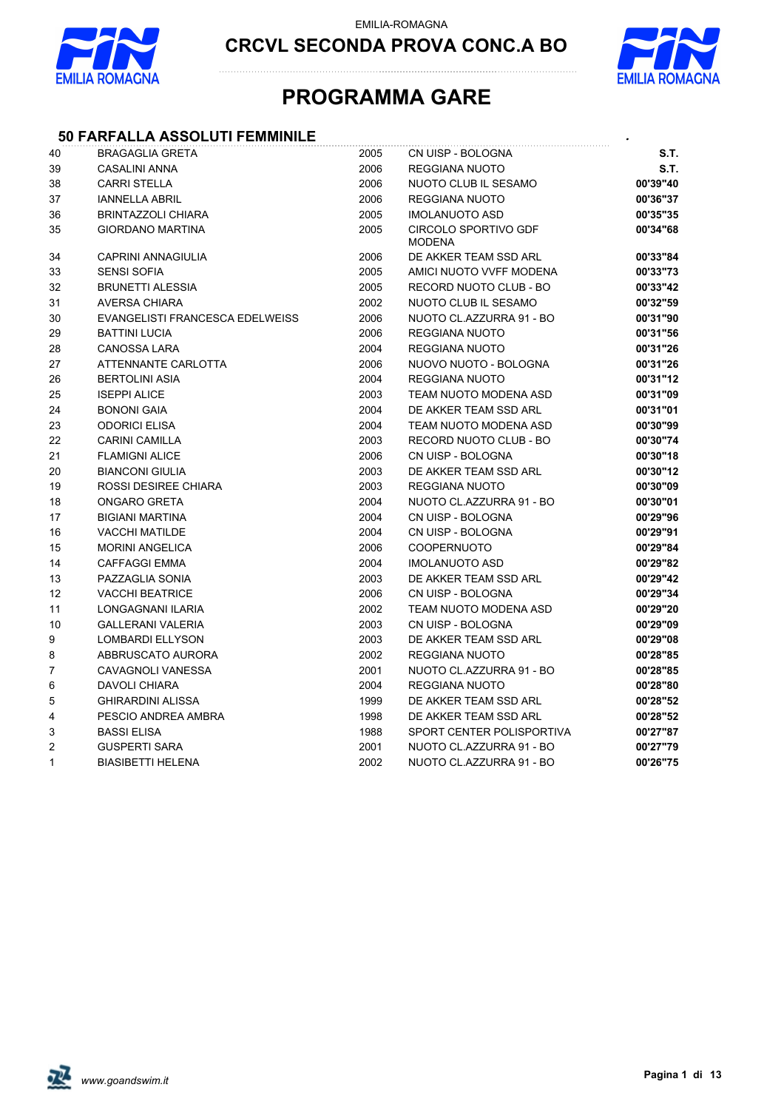



### **PROGRAMMA GARE**

#### **50 FARFALLA ASSOLUTI FEMMINILE** *.*

| 40           | <b>BRAGAGLIA GRETA</b>                 | 2005 | CN UISP - BOLOGNA                            | S.T.     |
|--------------|----------------------------------------|------|----------------------------------------------|----------|
| 39           | <b>CASALINI ANNA</b>                   | 2006 | <b>REGGIANA NUOTO</b>                        | S.T.     |
| 38           | <b>CARRI STELLA</b>                    | 2006 | NUOTO CLUB IL SESAMO                         | 00'39"40 |
| 37           | <b>IANNELLA ABRIL</b>                  | 2006 | <b>REGGIANA NUOTO</b>                        | 00'36"37 |
| 36           | <b>BRINTAZZOLI CHIARA</b>              | 2005 | <b>IMOLANUOTO ASD</b>                        | 00'35"35 |
| 35           | <b>GIORDANO MARTINA</b>                | 2005 | <b>CIRCOLO SPORTIVO GDF</b><br><b>MODENA</b> | 00'34"68 |
| 34           | CAPRINI ANNAGIULIA                     | 2006 | DE AKKER TEAM SSD ARL                        | 00'33"84 |
| 33           | <b>SENSI SOFIA</b>                     | 2005 | AMICI NUOTO VVFF MODENA                      | 00'33"73 |
| 32           | <b>BRUNETTI ALESSIA</b>                | 2005 | RECORD NUOTO CLUB - BO                       | 00'33"42 |
| 31           | <b>AVERSA CHIARA</b>                   | 2002 | NUOTO CLUB IL SESAMO                         | 00'32"59 |
| 30           | <b>EVANGELISTI FRANCESCA EDELWEISS</b> | 2006 | NUOTO CL.AZZURRA 91 - BO                     | 00'31"90 |
| 29           | <b>BATTINI LUCIA</b>                   | 2006 | REGGIANA NUOTO                               | 00'31"56 |
| 28           | <b>CANOSSA LARA</b>                    | 2004 | REGGIANA NUOTO                               | 00'31"26 |
| 27           | ATTENNANTE CARLOTTA                    | 2006 | NUOVO NUOTO - BOLOGNA                        | 00'31"26 |
| 26           | <b>BERTOLINI ASIA</b>                  | 2004 | <b>REGGIANA NUOTO</b>                        | 00'31"12 |
| 25           | <b>ISEPPI ALICE</b>                    | 2003 | TEAM NUOTO MODENA ASD                        | 00'31"09 |
| 24           | <b>BONONI GAIA</b>                     | 2004 | DE AKKER TEAM SSD ARL                        | 00'31"01 |
| 23           | <b>ODORICI ELISA</b>                   | 2004 | TEAM NUOTO MODENA ASD                        | 00'30"99 |
| 22           | <b>CARINI CAMILLA</b>                  | 2003 | RECORD NUOTO CLUB - BO                       | 00'30"74 |
| 21           | <b>FLAMIGNI ALICE</b>                  | 2006 | CN UISP - BOLOGNA                            | 00'30"18 |
| 20           | <b>BIANCONI GIULIA</b>                 | 2003 | DE AKKER TEAM SSD ARL                        | 00'30"12 |
| 19           | <b>ROSSI DESIREE CHIARA</b>            | 2003 | <b>REGGIANA NUOTO</b>                        | 00'30"09 |
| 18           | <b>ONGARO GRETA</b>                    | 2004 | NUOTO CL.AZZURRA 91 - BO                     | 00'30"01 |
| 17           | <b>BIGIANI MARTINA</b>                 | 2004 | CN UISP - BOLOGNA                            | 00'29"96 |
| 16           | <b>VACCHI MATILDE</b>                  | 2004 | CN UISP - BOLOGNA                            | 00'29"91 |
| 15           | <b>MORINI ANGELICA</b>                 | 2006 | COOPERNUOTO                                  | 00'29"84 |
| 14           | <b>CAFFAGGI EMMA</b>                   | 2004 | <b>IMOLANUOTO ASD</b>                        | 00'29"82 |
| 13           | PAZZAGLIA SONIA                        | 2003 | DE AKKER TEAM SSD ARL                        | 00'29"42 |
| 12           | <b>VACCHI BEATRICE</b>                 | 2006 | CN UISP - BOLOGNA                            | 00'29"34 |
| 11           | LONGAGNANI ILARIA                      | 2002 | TEAM NUOTO MODENA ASD                        | 00'29"20 |
| 10           | <b>GALLERANI VALERIA</b>               | 2003 | CN UISP - BOLOGNA                            | 00'29"09 |
| 9            | <b>LOMBARDI ELLYSON</b>                | 2003 | DE AKKER TEAM SSD ARL                        | 00'29"08 |
| 8            | ABBRUSCATO AURORA                      | 2002 | <b>REGGIANA NUOTO</b>                        | 00'28"85 |
| 7            | CAVAGNOLI VANESSA                      | 2001 | NUOTO CL.AZZURRA 91 - BO                     | 00'28"85 |
| 6            | <b>DAVOLI CHIARA</b>                   | 2004 | <b>REGGIANA NUOTO</b>                        | 00'28"80 |
| 5            | <b>GHIRARDINI ALISSA</b>               | 1999 | DE AKKER TEAM SSD ARL                        | 00'28"52 |
| 4            | PESCIO ANDREA AMBRA                    | 1998 | DE AKKER TEAM SSD ARL                        | 00'28"52 |
| 3            | <b>BASSI ELISA</b>                     | 1988 | SPORT CENTER POLISPORTIVA                    | 00'27"87 |
| 2            | <b>GUSPERTI SARA</b>                   | 2001 | NUOTO CL.AZZURRA 91 - BO                     | 00'27"79 |
| $\mathbf{1}$ | <b>BIASIBETTI HELENA</b>               | 2002 | NUOTO CL.AZZURRA 91 - BO                     | 00'26"75 |

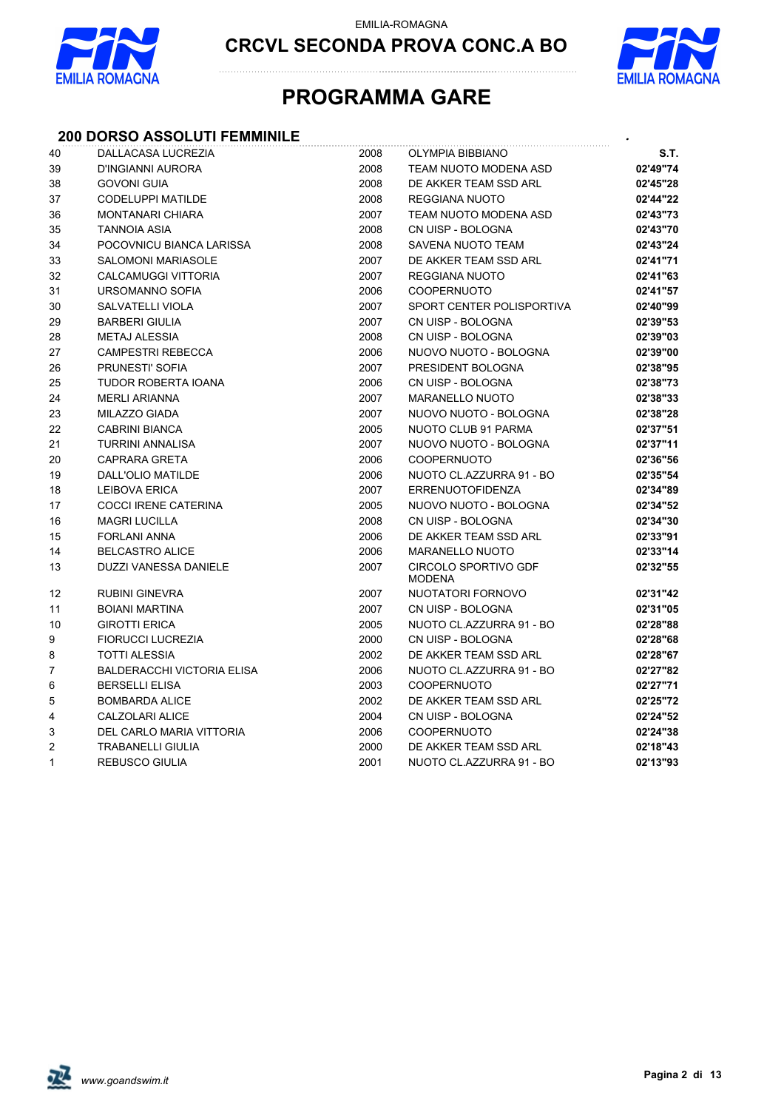

**CRCVL SECONDA PROVA CONC.A BO**



## **PROGRAMMA GARE**

#### **200 DORSO ASSOLUTI FEMMINILE** *.*

| 40             | DALLACASA LUCREZIA                | 2008 | OLYMPIA BIBBIANO                             | S.T.     |
|----------------|-----------------------------------|------|----------------------------------------------|----------|
| 39             | D'INGIANNI AURORA                 | 2008 | TEAM NUOTO MODENA ASD                        | 02'49"74 |
| 38             | <b>GOVONI GUIA</b>                | 2008 | DE AKKER TEAM SSD ARL                        | 02'45"28 |
| 37             | CODELUPPI MATILDE                 | 2008 | REGGIANA NUOTO                               | 02'44"22 |
| 36             | <b>MONTANARI CHIARA</b>           | 2007 | TEAM NUOTO MODENA ASD                        | 02'43"73 |
| 35             | <b>TANNOIA ASIA</b>               | 2008 | CN UISP - BOLOGNA                            | 02'43"70 |
| 34             | POCOVNICU BIANCA LARISSA          | 2008 | SAVENA NUOTO TEAM                            | 02'43"24 |
| 33             | <b>SALOMONI MARIASOLE</b>         | 2007 | DE AKKER TEAM SSD ARL                        | 02'41"71 |
| 32             | CALCAMUGGI VITTORIA               | 2007 | <b>REGGIANA NUOTO</b>                        | 02'41"63 |
| 31             | URSOMANNO SOFIA                   | 2006 | <b>COOPERNUOTO</b>                           | 02'41"57 |
| 30             | SALVATELLI VIOLA                  | 2007 | SPORT CENTER POLISPORTIVA                    | 02'40"99 |
| 29             | <b>BARBERI GIULIA</b>             | 2007 | CN UISP - BOLOGNA                            | 02'39"53 |
| 28             | <b>METAJ ALESSIA</b>              | 2008 | CN UISP - BOLOGNA                            | 02'39"03 |
| 27             | <b>CAMPESTRI REBECCA</b>          | 2006 | NUOVO NUOTO - BOLOGNA                        | 02'39"00 |
| 26             | PRUNESTI' SOFIA                   | 2007 | PRESIDENT BOLOGNA                            | 02'38"95 |
| 25             | TUDOR ROBERTA IOANA               | 2006 | CN UISP - BOLOGNA                            | 02'38"73 |
| 24             | <b>MERLI ARIANNA</b>              | 2007 | <b>MARANELLO NUOTO</b>                       | 02'38"33 |
| 23             | MILAZZO GIADA                     | 2007 | NUOVO NUOTO - BOLOGNA                        | 02'38"28 |
| 22             | <b>CABRINI BIANCA</b>             | 2005 | NUOTO CLUB 91 PARMA                          | 02'37"51 |
| 21             | TURRINI ANNALISA                  | 2007 | NUOVO NUOTO - BOLOGNA                        | 02'37"11 |
| 20             | <b>CAPRARA GRETA</b>              | 2006 | <b>COOPERNUOTO</b>                           | 02'36"56 |
| 19             | DALL'OLIO MATILDE                 | 2006 | NUOTO CL.AZZURRA 91 - BO                     | 02'35"54 |
| 18             | <b>LEIBOVA ERICA</b>              | 2007 | <b>ERRENUOTOFIDENZA</b>                      | 02'34"89 |
| 17             | <b>COCCI IRENE CATERINA</b>       | 2005 | NUOVO NUOTO - BOLOGNA                        | 02'34"52 |
| 16             | <b>MAGRI LUCILLA</b>              | 2008 | CN UISP - BOLOGNA                            | 02'34"30 |
| 15             | <b>FORLANI ANNA</b>               | 2006 | DE AKKER TEAM SSD ARL                        | 02'33"91 |
| 14             | <b>BELCASTRO ALICE</b>            | 2006 | <b>MARANELLO NUOTO</b>                       | 02'33"14 |
| 13             | <b>DUZZI VANESSA DANIELE</b>      | 2007 | <b>CIRCOLO SPORTIVO GDF</b><br><b>MODENA</b> | 02'32"55 |
| 12             | <b>RUBINI GINEVRA</b>             | 2007 | NUOTATORI FORNOVO                            | 02'31"42 |
| 11             | <b>BOIANI MARTINA</b>             | 2007 | CN UISP - BOLOGNA                            | 02'31"05 |
| 10             | <b>GIROTTI ERICA</b>              | 2005 | NUOTO CL.AZZURRA 91 - BO                     | 02'28"88 |
| 9              | <b>FIORUCCI LUCREZIA</b>          | 2000 | CN UISP - BOLOGNA                            | 02'28"68 |
| 8              | <b>TOTTI ALESSIA</b>              | 2002 | DE AKKER TEAM SSD ARL                        | 02'28"67 |
| $\overline{7}$ | <b>BALDERACCHI VICTORIA ELISA</b> | 2006 | NUOTO CL.AZZURRA 91 - BO                     | 02'27"82 |
| 6              | <b>BERSELLI ELISA</b>             | 2003 | <b>COOPERNUOTO</b>                           | 02'27"71 |
| 5              | <b>BOMBARDA ALICE</b>             | 2002 | DE AKKER TEAM SSD ARL                        | 02'25"72 |
| 4              | CALZOLARI ALICE                   | 2004 | CN UISP - BOLOGNA                            | 02'24"52 |
| 3              | DEL CARLO MARIA VITTORIA          | 2006 | <b>COOPERNUOTO</b>                           | 02'24"38 |
| 2              | <b>TRABANELLI GIULIA</b>          | 2000 | DE AKKER TEAM SSD ARL                        | 02'18"43 |
| $\mathbf{1}$   | <b>REBUSCO GIULIA</b>             | 2001 | NUOTO CL.AZZURRA 91 - BO                     | 02'13"93 |

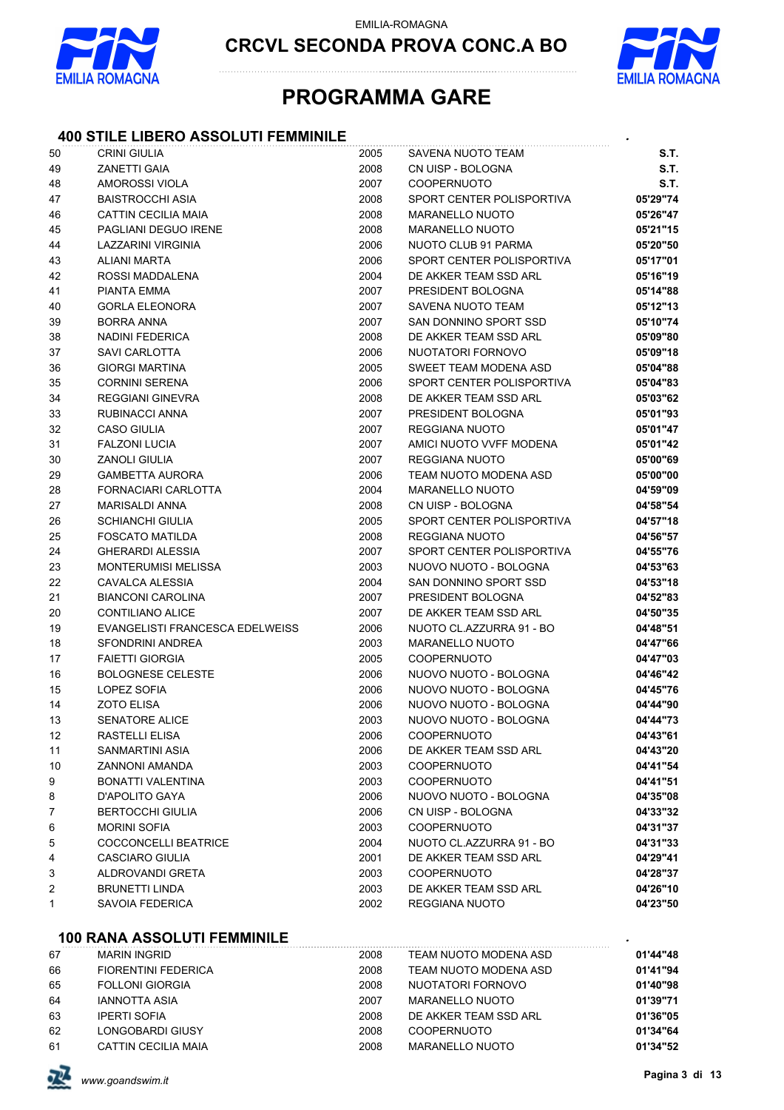



### **PROGRAMMA GARE**

#### **400 STILE LIBERO ASSOLUTI FEMMINILE** *.*

| 50 | <b>CRINI GIULIA</b>             | 2005 | SAVENA NUOTO TEAM         | S.T.     |
|----|---------------------------------|------|---------------------------|----------|
| 49 | <b>ZANETTI GAIA</b>             | 2008 | CN UISP - BOLOGNA         | S.T.     |
| 48 | AMOROSSI VIOLA                  | 2007 | <b>COOPERNUOTO</b>        | S.T.     |
| 47 | <b>BAISTROCCHI ASIA</b>         | 2008 | SPORT CENTER POLISPORTIVA | 05'29"74 |
| 46 | CATTIN CECILIA MAIA             | 2008 | <b>MARANELLO NUOTO</b>    | 05'26"47 |
| 45 | PAGLIANI DEGUO IRENE            | 2008 | <b>MARANELLO NUOTO</b>    | 05'21"15 |
| 44 | LAZZARINI VIRGINIA              | 2006 | NUOTO CLUB 91 PARMA       | 05'20"50 |
| 43 | <b>ALIANI MARTA</b>             | 2006 | SPORT CENTER POLISPORTIVA | 05'17"01 |
| 42 | ROSSI MADDALENA                 | 2004 | DE AKKER TEAM SSD ARL     | 05'16"19 |
| 41 | <b>PIANTA EMMA</b>              | 2007 | PRESIDENT BOLOGNA         | 05'14"88 |
| 40 | <b>GORLA ELEONORA</b>           | 2007 | SAVENA NUOTO TEAM         | 05'12"13 |
| 39 | <b>BORRA ANNA</b>               | 2007 | SAN DONNINO SPORT SSD     | 05'10"74 |
| 38 | <b>NADINI FEDERICA</b>          | 2008 | DE AKKER TEAM SSD ARL     | 05'09"80 |
| 37 | <b>SAVI CARLOTTA</b>            | 2006 | NUOTATORI FORNOVO         | 05'09"18 |
| 36 | <b>GIORGI MARTINA</b>           | 2005 | SWEET TEAM MODENA ASD     | 05'04"88 |
| 35 | <b>CORNINI SERENA</b>           | 2006 | SPORT CENTER POLISPORTIVA | 05'04"83 |
| 34 | REGGIANI GINEVRA                | 2008 | DE AKKER TEAM SSD ARL     | 05'03"62 |
| 33 | RUBINACCI ANNA                  | 2007 | PRESIDENT BOLOGNA         | 05'01"93 |
| 32 | <b>CASO GIULIA</b>              | 2007 | REGGIANA NUOTO            | 05'01"47 |
| 31 | <b>FALZONI LUCIA</b>            | 2007 | AMICI NUOTO VVFF MODENA   | 05'01"42 |
| 30 | <b>ZANOLI GIULIA</b>            | 2007 | <b>REGGIANA NUOTO</b>     | 05'00"69 |
| 29 | <b>GAMBETTA AURORA</b>          | 2006 | TEAM NUOTO MODENA ASD     | 05'00"00 |
| 28 | <b>FORNACIARI CARLOTTA</b>      | 2004 | <b>MARANELLO NUOTO</b>    | 04'59"09 |
| 27 | <b>MARISALDI ANNA</b>           | 2008 | CN UISP - BOLOGNA         | 04'58"54 |
| 26 | <b>SCHIANCHI GIULIA</b>         | 2005 | SPORT CENTER POLISPORTIVA | 04'57"18 |
| 25 | FOSCATO MATILDA                 | 2008 | <b>REGGIANA NUOTO</b>     | 04'56"57 |
| 24 | <b>GHERARDI ALESSIA</b>         | 2007 | SPORT CENTER POLISPORTIVA | 04'55"76 |
| 23 | <b>MONTERUMISI MELISSA</b>      | 2003 | NUOVO NUOTO - BOLOGNA     | 04'53"63 |
| 22 | <b>CAVALCA ALESSIA</b>          | 2004 | SAN DONNINO SPORT SSD     | 04'53"18 |
| 21 | <b>BIANCONI CAROLINA</b>        | 2007 | PRESIDENT BOLOGNA         | 04'52"83 |
| 20 | CONTILIANO ALICE                | 2007 | DE AKKER TEAM SSD ARL     | 04'50"35 |
| 19 | EVANGELISTI FRANCESCA EDELWEISS | 2006 | NUOTO CL.AZZURRA 91 - BO  | 04'48"51 |
| 18 | SFONDRINI ANDREA                | 2003 | <b>MARANELLO NUOTO</b>    | 04'47"66 |
| 17 | <b>FAIETTI GIORGIA</b>          | 2005 | <b>COOPERNUOTO</b>        | 04'47"03 |
| 16 | <b>BOLOGNESE CELESTE</b>        | 2006 | NUOVO NUOTO - BOLOGNA     | 04'46"42 |
| 15 | LOPEZ SOFIA                     | 2006 | NUOVO NUOTO - BOLOGNA     | 04'45"76 |
| 14 | <b>ZOTO ELISA</b>               | 2006 | NUOVO NUOTO - BOLOGNA     | 04'44"90 |
| 13 | <b>SENATORE ALICE</b>           | 2003 | NUOVO NUOTO - BOLOGNA     | 04'44"73 |
| 12 | RASTELLI ELISA                  | 2006 | COOPERNUOTO               | 04'43"61 |
| 11 | SANMARTINI ASIA                 | 2006 | DE AKKER TEAM SSD ARL     | 04'43"20 |
| 10 | ZANNONI AMANDA                  | 2003 | <b>COOPERNUOTO</b>        | 04'41"54 |
| 9  | <b>BONATTI VALENTINA</b>        | 2003 | <b>COOPERNUOTO</b>        | 04'41"51 |
| 8  | D'APOLITO GAYA                  | 2006 | NUOVO NUOTO - BOLOGNA     | 04'35"08 |
| 7  | <b>BERTOCCHI GIULIA</b>         | 2006 | CN UISP - BOLOGNA         | 04'33"32 |
| 6  | <b>MORINI SOFIA</b>             | 2003 | COOPERNUOTO               | 04'31"37 |
| 5  | <b>COCCONCELLI BEATRICE</b>     | 2004 | NUOTO CL.AZZURRA 91 - BO  | 04'31"33 |
| 4  | <b>CASCIARO GIULIA</b>          | 2001 | DE AKKER TEAM SSD ARL     | 04'29"41 |
| 3  | <b>ALDROVANDI GRETA</b>         | 2003 | <b>COOPERNUOTO</b>        | 04'28"37 |
| 2  | <b>BRUNETTI LINDA</b>           | 2003 | DE AKKER TEAM SSD ARL     | 04'26"10 |
| 1  | SAVOIA FEDERICA                 | 2002 | REGGIANA NUOTO            | 04'23"50 |
|    |                                 |      |                           |          |

#### **100 RANA ASSOLUTI FEMMINILE** *.*

| 67 | <b>MARIN INGRID</b>        | 2008 | TEAM NUOTO MODENA ASD | 01'44"48 |
|----|----------------------------|------|-----------------------|----------|
| 66 | <b>FIORENTINI FEDERICA</b> | 2008 | TEAM NUOTO MODENA ASD | 01'41"94 |
| 65 | <b>FOLLONI GIORGIA</b>     | 2008 | NUOTATORI FORNOVO     | 01'40"98 |
| 64 | <b>IANNOTTA ASIA</b>       | 2007 | MARANELLO NUOTO       | 01'39"71 |
| 63 | <b>IPERTI SOFIA</b>        | 2008 | DE AKKER TEAM SSD ARI | 01'36"05 |
| 62 | <b>LONGOBARDI GIUSY</b>    | 2008 | <b>COOPERNUOTO</b>    | 01'34"64 |
| 61 | <b>CATTIN CECILIA MAIA</b> | 2008 | MARANELLO NUOTO       | 01'34"52 |

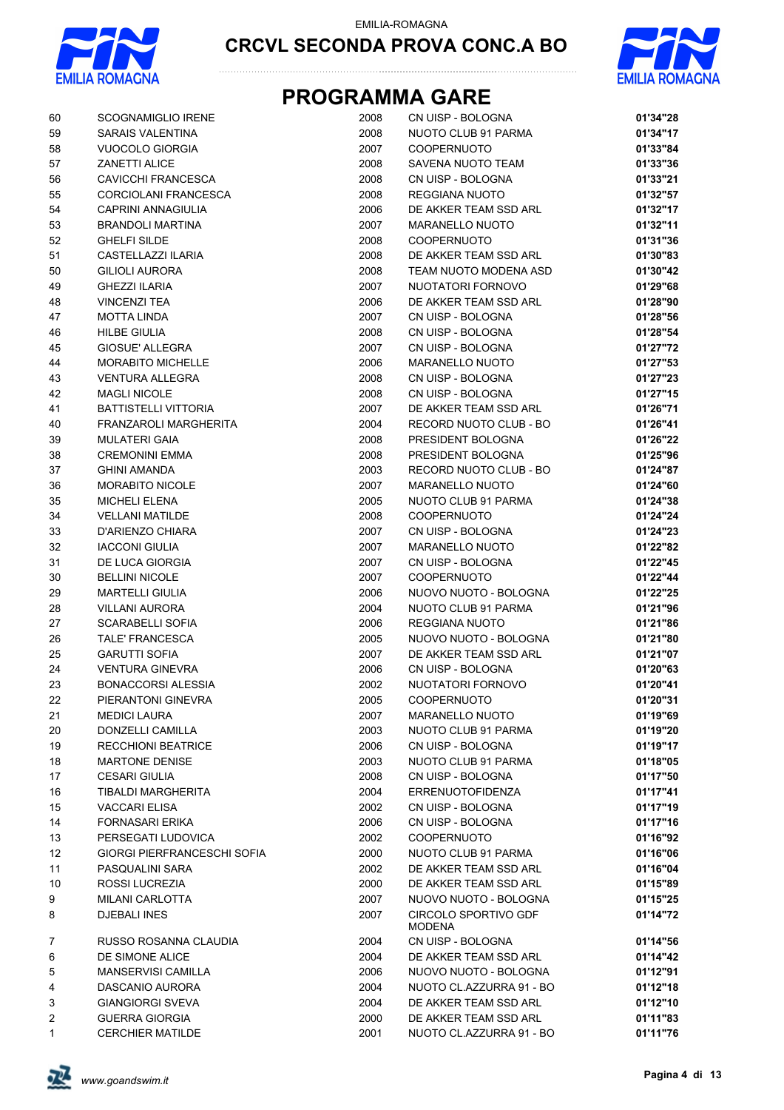



| 60           | <b>SCOGNAMIGLIO IRENE</b>   | 2008 | CN UISP - BOLOGNA              | 01'34"28 |
|--------------|-----------------------------|------|--------------------------------|----------|
| 59           | <b>SARAIS VALENTINA</b>     | 2008 | NUOTO CLUB 91 PARMA            | 01'34"17 |
| 58           | VUOCOLO GIORGIA             | 2007 | <b>COOPERNUOTO</b>             | 01'33"84 |
| 57           | <b>ZANETTI ALICE</b>        | 2008 | SAVENA NUOTO TEAM              | 01'33"36 |
| 56           | <b>CAVICCHI FRANCESCA</b>   | 2008 | CN UISP - BOLOGNA              | 01'33"21 |
| 55           | CORCIOLANI FRANCESCA        | 2008 | <b>REGGIANA NUOTO</b>          | 01'32"57 |
| 54           | CAPRINI ANNAGIULIA          | 2006 | DE AKKER TEAM SSD ARL          | 01'32"17 |
| 53           | <b>BRANDOLI MARTINA</b>     | 2007 | MARANELLO NUOTO                | 01'32"11 |
| 52           | <b>GHELFI SILDE</b>         | 2008 | COOPERNUOTO                    | 01'31"36 |
| 51           | CASTELLAZZI ILARIA          | 2008 | DE AKKER TEAM SSD ARL          | 01'30"83 |
| 50           | <b>GILIOLI AURORA</b>       | 2008 | TEAM NUOTO MODENA ASD          | 01'30"42 |
| 49           | <b>GHEZZI ILARIA</b>        | 2007 | NUOTATORI FORNOVO              | 01'29"68 |
| 48           | <b>VINCENZI TEA</b>         | 2006 | DE AKKER TEAM SSD ARL          | 01'28"90 |
| 47           | <b>MOTTA LINDA</b>          | 2007 | CN UISP - BOLOGNA              | 01'28"56 |
| 46           | <b>HILBE GIULIA</b>         | 2008 | CN UISP - BOLOGNA              | 01'28"54 |
| 45           | GIOSUE' ALLEGRA             | 2007 | CN UISP - BOLOGNA              | 01'27"72 |
| 44           | <b>MORABITO MICHELLE</b>    | 2006 | <b>MARANELLO NUOTO</b>         | 01'27"53 |
| 43           | <b>VENTURA ALLEGRA</b>      | 2008 | CN UISP - BOLOGNA              | 01'27"23 |
| 42           | <b>MAGLI NICOLE</b>         | 2008 | CN UISP - BOLOGNA              | 01'27"15 |
| 41           | <b>BATTISTELLI VITTORIA</b> | 2007 | DE AKKER TEAM SSD ARL          | 01'26"71 |
| 40           | FRANZAROLI MARGHERITA       | 2004 | RECORD NUOTO CLUB - BO         | 01'26"41 |
| 39           | <b>MULATERI GAIA</b>        | 2008 | PRESIDENT BOLOGNA              | 01'26"22 |
| 38           | <b>CREMONINI EMMA</b>       | 2008 | PRESIDENT BOLOGNA              | 01'25"96 |
| 37           | <b>GHINI AMANDA</b>         | 2003 | RECORD NUOTO CLUB - BO         | 01'24"87 |
| 36           | <b>MORABITO NICOLE</b>      | 2007 | MARANELLO NUOTO                | 01'24"60 |
| 35           | <b>MICHELI ELENA</b>        | 2005 | NUOTO CLUB 91 PARMA            | 01'24"38 |
| 34           | <b>VELLANI MATILDE</b>      | 2008 | <b>COOPERNUOTO</b>             | 01'24"24 |
| 33           | D'ARIENZO CHIARA            | 2007 | CN UISP - BOLOGNA              | 01'24"23 |
| 32           | <b>IACCONI GIULIA</b>       | 2007 | <b>MARANELLO NUOTO</b>         | 01'22"82 |
| 31           | DE LUCA GIORGIA             | 2007 | CN UISP - BOLOGNA              | 01'22"45 |
| 30           | <b>BELLINI NICOLE</b>       | 2007 | COOPERNUOTO                    | 01'22"44 |
| 29           | <b>MARTELLI GIULIA</b>      | 2006 | NUOVO NUOTO - BOLOGNA          | 01'22"25 |
| 28           | <b>VILLANI AURORA</b>       | 2004 | NUOTO CLUB 91 PARMA            | 01'21"96 |
| 27           | <b>SCARABELLI SOFIA</b>     | 2006 | <b>REGGIANA NUOTO</b>          | 01'21"86 |
| 26           | TALE' FRANCESCA             | 2005 | NUOVO NUOTO - BOLOGNA          | 01'21"80 |
| 25           | <b>GARUTTI SOFIA</b>        | 2007 | DE AKKER TEAM SSD ARL          | 01'21"07 |
| 24           | <b>VENTURA GINEVRA</b>      | 2006 | CN UISP - BOLOGNA              | 01'20"63 |
| 23           | <b>BONACCORSI ALESSIA</b>   | 2002 | NUOTATORI FORNOVO              | 01'20"41 |
| 22           | PIFRANTONI GINEVRA          | 2005 | COOPERNUOTO                    | 01'20"31 |
| 21           | <b>MEDICI LAURA</b>         | 2007 | <b>MARANELLO NUOTO</b>         | 01'19"69 |
| 20           | DONZELLI CAMILLA            | 2003 | NUOTO CLUB 91 PARMA            | 01'19"20 |
| 19           | <b>RECCHIONI BEATRICE</b>   | 2006 | CN UISP - BOLOGNA              | 01'19"17 |
| 18           | <b>MARTONE DENISE</b>       | 2003 | NUOTO CLUB 91 PARMA            | 01'18"05 |
| 17           | <b>CESARI GIULIA</b>        | 2008 | CN UISP - BOLOGNA              | 01'17"50 |
| 16           | TIBALDI MARGHERITA          | 2004 | <b>ERRENUOTOFIDENZA</b>        | 01'17"41 |
| 15           | <b>VACCARI ELISA</b>        | 2002 | CN UISP - BOLOGNA              | 01'17"19 |
| 14           | <b>FORNASARI ERIKA</b>      | 2006 | CN UISP - BOLOGNA              | 01'17"16 |
| 13           | PERSEGATI LUDOVICA          | 2002 | <b>COOPERNUOTO</b>             | 01'16"92 |
| 12           | GIORGI PIERFRANCESCHI SOFIA | 2000 | NUOTO CLUB 91 PARMA            | 01'16"06 |
| 11           | PASQUALINI SARA             | 2002 | DE AKKER TEAM SSD ARL          | 01'16"04 |
| 10           | ROSSI LUCREZIA              | 2000 | DE AKKER TEAM SSD ARL          | 01'15"89 |
| 9            | MILANI CARLOTTA             | 2007 | NUOVO NUOTO - BOLOGNA          | 01'15"25 |
| 8            | DJEBALI INES                | 2007 | CIRCOLO SPORTIVO GDF<br>MODENA | 01'14"72 |
| 7            | RUSSO ROSANNA CLAUDIA       | 2004 | CN UISP - BOLOGNA              | 01'14"56 |
| 6            | DE SIMONE ALICE             | 2004 | DE AKKER TEAM SSD ARL          | 01'14"42 |
| 5            | MANSERVISI CAMILLA          | 2006 | NUOVO NUOTO - BOLOGNA          | 01'12"91 |
| 4            | DASCANIO AURORA             | 2004 | NUOTO CL.AZZURRA 91 - BO       | 01'12"18 |
| 3            | <b>GIANGIORGI SVEVA</b>     | 2004 | DE AKKER TEAM SSD ARL          | 01'12"10 |
| 2            | <b>GUERRA GIORGIA</b>       | 2000 | DE AKKER TEAM SSD ARL          | 01'11"83 |
| $\mathbf{1}$ | <b>CERCHIER MATILDE</b>     | 2001 | NUOTO CL.AZZURRA 91 - BO       | 01'11"76 |

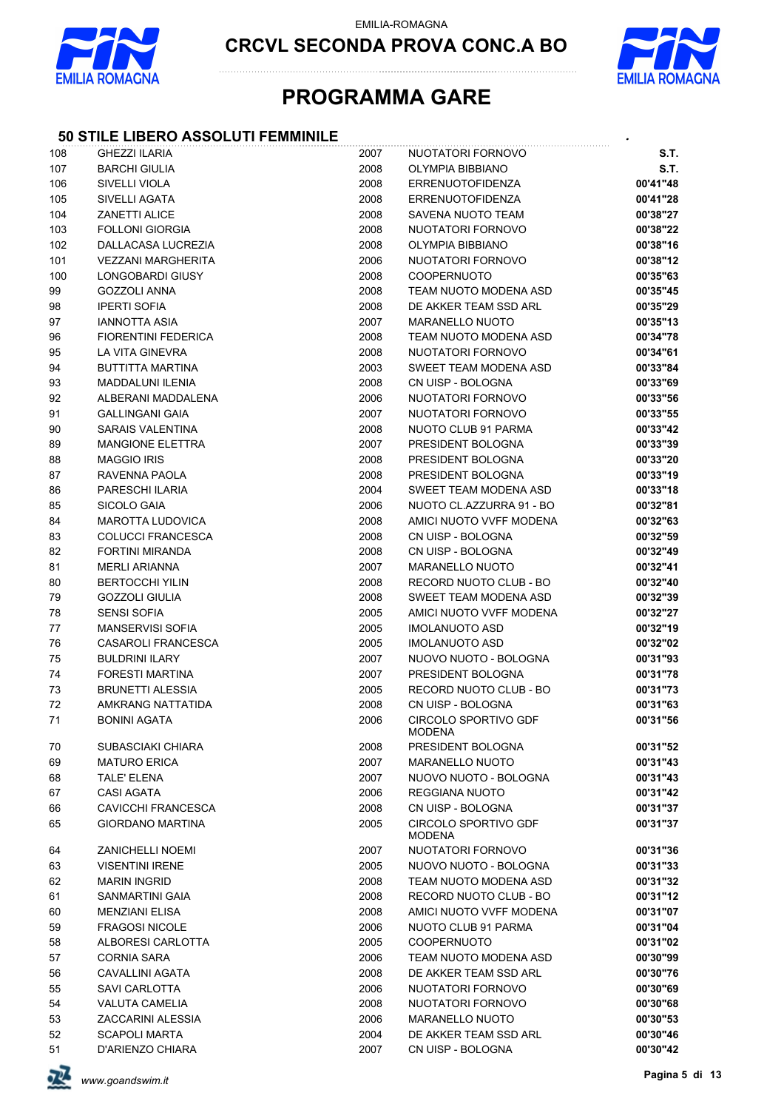

**CRCVL SECONDA PROVA CONC.A BO**



### **PROGRAMMA GARE**

#### **50 STILE LIBERO ASSOLUTI FEMMINILE** *.*

| 108 | <b>GHEZZI ILARIA</b>       | 2007 | NUOTATORI FORNOVO                            | S.T.     |
|-----|----------------------------|------|----------------------------------------------|----------|
| 107 | <b>BARCHI GIULIA</b>       | 2008 | OLYMPIA BIBBIANO                             | S.T.     |
| 106 | SIVELLI VIOLA              | 2008 | <b>ERRENUOTOFIDENZA</b>                      | 00'41"48 |
| 105 | <b>SIVELLI AGATA</b>       | 2008 | <b>ERRENUOTOFIDENZA</b>                      | 00'41"28 |
| 104 | <b>ZANETTI ALICE</b>       | 2008 | SAVENA NUOTO TEAM                            | 00'38"27 |
| 103 | <b>FOLLONI GIORGIA</b>     | 2008 | NUOTATORI FORNOVO                            | 00'38"22 |
| 102 | DALLACASA LUCREZIA         | 2008 | OLYMPIA BIBBIANO                             | 00'38"16 |
| 101 | <b>VEZZANI MARGHERITA</b>  | 2006 | NUOTATORI FORNOVO                            | 00'38"12 |
| 100 | LONGOBARDI GIUSY           | 2008 | COOPERNUOTO                                  | 00'35"63 |
| 99  | <b>GOZZOLI ANNA</b>        | 2008 | TEAM NUOTO MODENA ASD                        | 00'35"45 |
| 98  | <b>IPERTI SOFIA</b>        | 2008 | DE AKKER TEAM SSD ARL                        | 00'35"29 |
| 97  | IANNOTTA ASIA              | 2007 | <b>MARANELLO NUOTO</b>                       | 00'35"13 |
| 96  | <b>FIORENTINI FEDERICA</b> | 2008 | TEAM NUOTO MODENA ASD                        | 00'34"78 |
| 95  | LA VITA GINEVRA            | 2008 | NUOTATORI FORNOVO                            | 00'34"61 |
| 94  | <b>BUTTITTA MARTINA</b>    | 2003 | SWEET TEAM MODENA ASD                        | 00'33"84 |
| 93  | <b>MADDALUNI ILENIA</b>    | 2008 | CN UISP - BOLOGNA                            | 00'33"69 |
| 92  | ALBERANI MADDALENA         | 2006 | NUOTATORI FORNOVO                            | 00'33"56 |
| 91  | <b>GALLINGANI GAIA</b>     | 2007 | NUOTATORI FORNOVO                            | 00'33"55 |
| 90  | <b>SARAIS VALENTINA</b>    | 2008 | NUOTO CLUB 91 PARMA                          | 00'33"42 |
| 89  | <b>MANGIONE ELETTRA</b>    | 2007 | PRESIDENT BOLOGNA                            | 00'33"39 |
| 88  | <b>MAGGIO IRIS</b>         | 2008 | PRESIDENT BOLOGNA                            | 00'33"20 |
| 87  | RAVENNA PAOLA              | 2008 | PRESIDENT BOLOGNA                            | 00'33"19 |
| 86  | PARESCHI ILARIA            | 2004 | SWEET TEAM MODENA ASD                        | 00'33"18 |
| 85  | SICOLO GAIA                | 2006 | NUOTO CL.AZZURRA 91 - BO                     | 00'32"81 |
| 84  | <b>MAROTTA LUDOVICA</b>    | 2008 | AMICI NUOTO VVFF MODENA                      | 00'32"63 |
| 83  | <b>COLUCCI FRANCESCA</b>   | 2008 | CN UISP - BOLOGNA                            | 00'32"59 |
| 82  | FORTINI MIRANDA            | 2008 | CN UISP - BOLOGNA                            | 00'32"49 |
| 81  | <b>MERLI ARIANNA</b>       | 2007 | <b>MARANELLO NUOTO</b>                       | 00'32"41 |
| 80  | <b>BERTOCCHI YILIN</b>     | 2008 | RECORD NUOTO CLUB - BO                       | 00'32"40 |
| 79  | <b>GOZZOLI GIULIA</b>      | 2008 | SWEET TEAM MODENA ASD                        | 00'32"39 |
| 78  | <b>SENSI SOFIA</b>         | 2005 | AMICI NUOTO VVFF MODENA                      | 00'32"27 |
| 77  | <b>MANSERVISI SOFIA</b>    | 2005 | <b>IMOLANUOTO ASD</b>                        | 00'32"19 |
| 76  | CASAROLI FRANCESCA         | 2005 | <b>IMOLANUOTO ASD</b>                        | 00'32"02 |
| 75  | <b>BULDRINI ILARY</b>      | 2007 | NUOVO NUOTO - BOLOGNA                        | 00'31"93 |
| 74  | <b>FORESTI MARTINA</b>     | 2007 | PRESIDENT BOLOGNA                            | 00'31"78 |
| 73  | <b>BRUNETTI ALESSIA</b>    | 2005 | RECORD NUOTO CLUB - BO                       | 00'31"73 |
| 72  | AMKRANG NATTATIDA          | 2008 | CN UISP - BOLOGNA                            | 00'31"63 |
| 71  | <b>BONINI AGATA</b>        | 2006 | <b>CIRCOLO SPORTIVO GDF</b><br><b>MODENA</b> | 00'31"56 |
| 70  | SUBASCIAKI CHIARA          | 2008 | PRESIDENT BOLOGNA                            | 00'31"52 |
| 69  | <b>MATURO ERICA</b>        | 2007 | <b>MARANELLO NUOTO</b>                       | 00'31"43 |
| 68  | TALE' ELENA                | 2007 | NUOVO NUOTO - BOLOGNA                        | 00'31"43 |
| 67  | <b>CASI AGATA</b>          | 2006 | <b>REGGIANA NUOTO</b>                        | 00'31"42 |
| 66  | <b>CAVICCHI FRANCESCA</b>  | 2008 | CN UISP - BOLOGNA                            | 00'31"37 |
| 65  | GIORDANO MARTINA           | 2005 | <b>CIRCOLO SPORTIVO GDF</b><br>MODENA        | 00'31"37 |
| 64  | <b>ZANICHELLI NOEMI</b>    | 2007 | NUOTATORI FORNOVO                            | 00'31"36 |
| 63  | <b>VISENTINI IRENE</b>     | 2005 | NUOVO NUOTO - BOLOGNA                        | 00'31"33 |
| 62  | <b>MARIN INGRID</b>        | 2008 | TEAM NUOTO MODENA ASD                        | 00'31"32 |
| 61  | SANMARTINI GAIA            | 2008 | RECORD NUOTO CLUB - BO                       | 00'31"12 |
| 60  | <b>MENZIANI ELISA</b>      | 2008 | AMICI NUOTO VVFF MODENA                      | 00'31"07 |
| 59  | <b>FRAGOSI NICOLE</b>      | 2006 | NUOTO CLUB 91 PARMA                          | 00'31"04 |
| 58  | ALBORESI CARLOTTA          | 2005 | <b>COOPERNUOTO</b>                           | 00'31"02 |
| 57  | <b>CORNIA SARA</b>         | 2006 | TEAM NUOTO MODENA ASD                        | 00'30"99 |
| 56  | <b>CAVALLINI AGATA</b>     | 2008 | DE AKKER TEAM SSD ARL                        | 00'30"76 |
| 55  | SAVI CARLOTTA              | 2006 | NUOTATORI FORNOVO                            | 00'30"69 |
| 54  | <b>VALUTA CAMELIA</b>      | 2008 | NUOTATORI FORNOVO                            | 00'30"68 |
| 53  | ZACCARINI ALESSIA          | 2006 | <b>MARANELLO NUOTO</b>                       | 00'30"53 |
| 52  | <b>SCAPOLI MARTA</b>       | 2004 | DE AKKER TEAM SSD ARL                        | 00'30"46 |
| 51  | D'ARIENZO CHIARA           | 2007 | CN UISP - BOLOGNA                            | 00'30"42 |

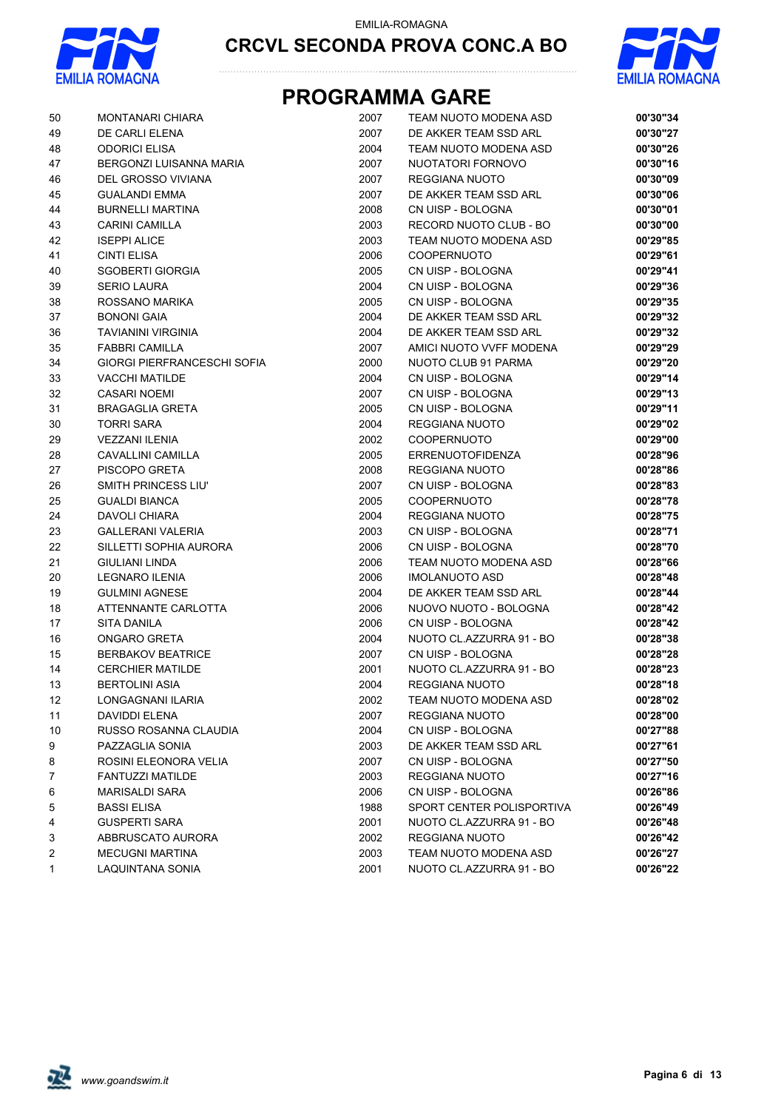



| 50 | <b>MONTANARI CHIARA</b>     | 2007 | TEAM NUOTO MODENA ASD     | 00'30"34 |
|----|-----------------------------|------|---------------------------|----------|
| 49 | DE CARLI ELENA              | 2007 | DE AKKER TEAM SSD ARL     | 00'30"27 |
| 48 | <b>ODORICI ELISA</b>        | 2004 | TEAM NUOTO MODENA ASD     | 00'30"26 |
| 47 | BERGONZI LUISANNA MARIA     | 2007 | NUOTATORI FORNOVO         | 00'30"16 |
| 46 | DEL GROSSO VIVIANA          | 2007 | REGGIANA NUOTO            | 00'30"09 |
| 45 | <b>GUALANDI EMMA</b>        | 2007 | DE AKKER TEAM SSD ARL     | 00'30"06 |
| 44 | <b>BURNELLI MARTINA</b>     | 2008 | CN UISP - BOLOGNA         | 00'30"01 |
| 43 | CARINI CAMILLA              | 2003 | RECORD NUOTO CLUB - BO    | 00'30"00 |
| 42 | <b>ISEPPI ALICE</b>         | 2003 | TEAM NUOTO MODENA ASD     | 00'29"85 |
| 41 | <b>CINTI ELISA</b>          | 2006 | <b>COOPERNUOTO</b>        | 00'29"61 |
| 40 | <b>SGOBERTI GIORGIA</b>     | 2005 | CN UISP - BOLOGNA         | 00'29"41 |
| 39 | <b>SERIO LAURA</b>          | 2004 | CN UISP - BOLOGNA         | 00'29"36 |
| 38 | ROSSANO MARIKA              | 2005 | CN UISP - BOLOGNA         | 00'29"35 |
| 37 | <b>BONONI GAIA</b>          | 2004 | DE AKKER TEAM SSD ARL     | 00'29"32 |
| 36 | <b>TAVIANINI VIRGINIA</b>   | 2004 | DE AKKER TEAM SSD ARL     | 00'29"32 |
| 35 | <b>FABBRI CAMILLA</b>       | 2007 | AMICI NUOTO VVFF MODENA   | 00'29"29 |
| 34 | GIORGI PIERFRANCESCHI SOFIA | 2000 | NUOTO CLUB 91 PARMA       | 00'29"20 |
| 33 | <b>VACCHI MATILDE</b>       | 2004 | CN UISP - BOLOGNA         | 00'29"14 |
| 32 | <b>CASARI NOEMI</b>         | 2007 | CN UISP - BOLOGNA         | 00'29"13 |
| 31 | <b>BRAGAGLIA GRETA</b>      | 2005 | CN UISP - BOLOGNA         | 00'29"11 |
| 30 | <b>TORRI SARA</b>           | 2004 | REGGIANA NUOTO            | 00'29"02 |
| 29 | <b>VEZZANI ILENIA</b>       | 2002 | <b>COOPERNUOTO</b>        | 00'29"00 |
| 28 | CAVALLINI CAMILLA           | 2005 | <b>ERRENUOTOFIDENZA</b>   | 00'28"96 |
| 27 | PISCOPO GRETA               | 2008 | REGGIANA NUOTO            | 00'28"86 |
| 26 | SMITH PRINCESS LIU'         | 2007 | CN UISP - BOLOGNA         | 00'28"83 |
| 25 | <b>GUALDI BIANCA</b>        | 2005 | <b>COOPERNUOTO</b>        | 00'28"78 |
| 24 | <b>DAVOLI CHIARA</b>        | 2004 | REGGIANA NUOTO            | 00'28"75 |
| 23 | <b>GALLERANI VALERIA</b>    | 2003 | CN UISP - BOLOGNA         | 00'28"71 |
| 22 | SILLETTI SOPHIA AURORA      | 2006 | CN UISP - BOLOGNA         | 00'28"70 |
| 21 | <b>GIULIANI LINDA</b>       | 2006 | TEAM NUOTO MODENA ASD     | 00'28"66 |
| 20 | <b>LEGNARO ILENIA</b>       | 2006 | <b>IMOLANUOTO ASD</b>     | 00'28"48 |
| 19 | <b>GULMINI AGNESE</b>       | 2004 | DE AKKER TEAM SSD ARL     | 00'28"44 |
| 18 | ATTENNANTE CARLOTTA         | 2006 | NUOVO NUOTO - BOLOGNA     | 00'28"42 |
| 17 | <b>SITA DANILA</b>          | 2006 | CN UISP - BOLOGNA         | 00'28"42 |
| 16 | ONGARO GRETA                | 2004 | NUOTO CL.AZZURRA 91 - BO  | 00'28"38 |
| 15 | <b>BERBAKOV BEATRICE</b>    | 2007 | CN UISP - BOLOGNA         | 00'28"28 |
| 14 | <b>CERCHIER MATILDE</b>     | 2001 | NUOTO CL.AZZURRA 91 - BO  | 00'28"23 |
| 13 | <b>BERTOLINI ASIA</b>       | 2004 | <b>REGGIANA NUOTO</b>     | 00'28"18 |
| 12 | LONGAGNANI ILARIA           | 2002 | TEAM NUOTO MODENA ASD     | 00'28"02 |
| 11 | DAVIDDI ELENA               | 2007 | REGGIANA NUOTO            | 00'28"00 |
| 10 | RUSSO ROSANNA CLAUDIA       | 2004 | CN UISP - BOLOGNA         | 00'27"88 |
| 9  | PAZZAGLIA SONIA             | 2003 | DE AKKER TEAM SSD ARL     | 00'27"61 |
| 8  | ROSINI ELEONORA VELIA       | 2007 | CN UISP - BOLOGNA         | 00'27"50 |
| 7  | <b>FANTUZZI MATILDE</b>     | 2003 | REGGIANA NUOTO            | 00'27"16 |
| 6  | <b>MARISALDI SARA</b>       | 2006 | CN UISP - BOLOGNA         | 00'26"86 |
| 5  | <b>BASSI ELISA</b>          | 1988 | SPORT CENTER POLISPORTIVA | 00'26"49 |
| 4  | <b>GUSPERTI SARA</b>        | 2001 | NUOTO CL.AZZURRA 91 - BO  | 00'26"48 |
| 3  | ABBRUSCATO AURORA           | 2002 | REGGIANA NUOTO            | 00'26"42 |
| 2  | <b>MECUGNI MARTINA</b>      | 2003 | TEAM NUOTO MODENA ASD     | 00'26"27 |
| 1  | <b>LAQUINTANA SONIA</b>     | 2001 | NUOTO CL.AZZURRA 91 - BO  | 00'26"22 |
|    |                             |      |                           |          |

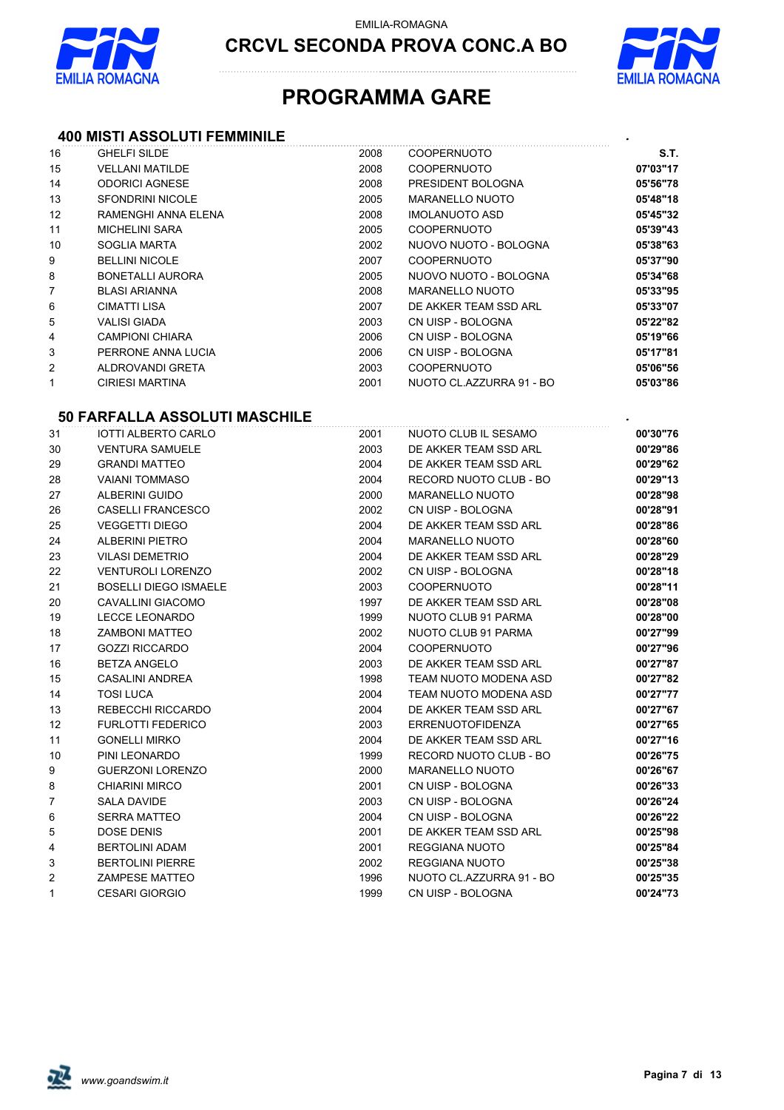

**CRCVL SECONDA PROVA CONC.A BO**



## **PROGRAMMA GARE**

#### **400 MISTI ASSOLUTI FEMMINILE** *.*

| 16                      | <b>GHELFI SILDE</b>                  | 2008 | <b>COOPERNUOTO</b>       | S.T.     |
|-------------------------|--------------------------------------|------|--------------------------|----------|
| 15                      | <b>VELLANI MATILDE</b>               | 2008 | <b>COOPERNUOTO</b>       | 07'03"17 |
| 14                      | <b>ODORICI AGNESE</b>                | 2008 | PRESIDENT BOLOGNA        | 05'56"78 |
| 13                      | <b>SFONDRINI NICOLE</b>              | 2005 | <b>MARANELLO NUOTO</b>   | 05'48"18 |
| 12                      | RAMENGHI ANNA ELENA                  | 2008 | <b>IMOLANUOTO ASD</b>    | 05'45"32 |
| 11                      | <b>MICHELINI SARA</b>                | 2005 | <b>COOPERNUOTO</b>       | 05'39"43 |
| 10                      | SOGLIA MARTA                         | 2002 | NUOVO NUOTO - BOLOGNA    | 05'38"63 |
| 9                       | <b>BELLINI NICOLE</b>                | 2007 | <b>COOPERNUOTO</b>       | 05'37"90 |
| 8                       | <b>BONETALLI AURORA</b>              | 2005 | NUOVO NUOTO - BOLOGNA    | 05'34"68 |
| $\overline{7}$          | <b>BLASI ARIANNA</b>                 | 2008 | <b>MARANELLO NUOTO</b>   | 05'33"95 |
| 6                       | <b>CIMATTI LISA</b>                  | 2007 | DE AKKER TEAM SSD ARL    | 05'33"07 |
| 5                       | <b>VALISI GIADA</b>                  | 2003 | CN UISP - BOLOGNA        | 05'22"82 |
| 4                       | <b>CAMPIONI CHIARA</b>               | 2006 | CN UISP - BOLOGNA        | 05'19"66 |
| 3                       | PERRONE ANNA LUCIA                   | 2006 | CN UISP - BOLOGNA        | 05'17"81 |
| $\overline{\mathbf{c}}$ | ALDROVANDI GRETA                     | 2003 | COOPERNUOTO              | 05'06"56 |
| $\mathbf{1}$            | <b>CIRIESI MARTINA</b>               | 2001 | NUOTO CL.AZZURRA 91 - BO | 05'03"86 |
|                         |                                      |      |                          |          |
|                         | <b>50 FARFALLA ASSOLUTI MASCHILE</b> |      |                          |          |
| 31                      | <b>IOTTI ALBERTO CARLO</b>           | 2001 | NUOTO CLUB IL SESAMO     | 00'30"76 |
| 30                      | <b>VENTURA SAMUELE</b>               | 2003 | DE AKKER TEAM SSD ARL    | 00'29"86 |
| 29                      | <b>GRANDI MATTEO</b>                 | 2004 | DE AKKER TEAM SSD ARL    | 00'29"62 |
| 28                      | <b>VAIANI TOMMASO</b>                | 2004 | RECORD NUOTO CLUB - BO   | 00'29"13 |
| 27                      | <b>ALBERINI GUIDO</b>                | 2000 | <b>MARANELLO NUOTO</b>   | 00'28"98 |
| 26                      | <b>CASELLI FRANCESCO</b>             | 2002 | CN UISP - BOLOGNA        | 00'28"91 |
| 25                      | <b>VEGGETTI DIEGO</b>                | 2004 | DE AKKER TEAM SSD ARL    | 00'28"86 |
| 24                      | <b>ALBERINI PIETRO</b>               | 2004 | <b>MARANELLO NUOTO</b>   | 00'28"60 |
| 23                      | <b>VILASI DEMETRIO</b>               | 2004 | DE AKKER TEAM SSD ARL    | 00'28"29 |
| 22                      | <b>VENTUROLI LORENZO</b>             | 2002 | CN UISP - BOLOGNA        | 00'28"18 |
| 21                      | <b>BOSELLI DIEGO ISMAELE</b>         | 2003 | <b>COOPERNUOTO</b>       | 00'28"11 |
| 20                      | CAVALLINI GIACOMO                    | 1997 | DE AKKER TEAM SSD ARL    | 00'28"08 |
| 19                      | <b>LECCE LEONARDO</b>                | 1999 | NUOTO CLUB 91 PARMA      | 00'28"00 |
| 18                      | <b>ZAMBONI MATTEO</b>                | 2002 | NUOTO CLUB 91 PARMA      | 00'27"99 |
| 17                      | <b>GOZZI RICCARDO</b>                | 2004 | <b>COOPERNUOTO</b>       | 00'27"96 |
| 16                      | <b>BETZA ANGELO</b>                  | 2003 | DE AKKER TEAM SSD ARL    | 00'27"87 |
| 15                      | <b>CASALINI ANDREA</b>               | 1998 | TEAM NUOTO MODENA ASD    | 00'27"82 |
| 14                      | <b>TOSI LUCA</b>                     | 2004 | TEAM NUOTO MODENA ASD    | 00'27"77 |
| 13                      | <b>REBECCHI RICCARDO</b>             | 2004 | DE AKKER TEAM SSD ARL    | 00'27"67 |
| 12                      | <b>FURLOTTI FEDERICO</b>             | 2003 | <b>ERRENUOTOFIDENZA</b>  | 00'27"65 |
| 11                      | <b>GONELLI MIRKO</b>                 | 2004 | DE AKKER TEAM SSD ARL    | 00'27"16 |
| 10                      | PINI LEONARDO                        | 1999 | RECORD NUOTO CLUB - BO   | 00'26"75 |
| 9                       | <b>GUERZONI LORENZO</b>              | 2000 | <b>MARANELLO NUOTO</b>   | 00'26"67 |
| 8                       | <b>CHIARINI MIRCO</b>                | 2001 | CN UISP - BOLOGNA        | 00'26"33 |
| 7                       | <b>SALA DAVIDE</b>                   | 2003 | CN UISP - BOLOGNA        | 00'26"24 |
| 6                       | <b>SERRA MATTEO</b>                  | 2004 | CN UISP - BOLOGNA        | 00'26"22 |
| 5                       | DOSE DENIS                           | 2001 | DE AKKER TEAM SSD ARL    | 00'25"98 |
| 4                       | <b>BERTOLINI ADAM</b>                | 2001 | REGGIANA NUOTO           | 00'25"84 |
| 3                       | <b>BERTOLINI PIERRE</b>              | 2002 | REGGIANA NUOTO           | 00'25"38 |
| 2                       | <b>ZAMPESE MATTEO</b>                | 1996 | NUOTO CL.AZZURRA 91 - BO | 00'25"35 |
| 1                       | <b>CESARI GIORGIO</b>                | 1999 | CN UISP - BOLOGNA        | 00'24"73 |

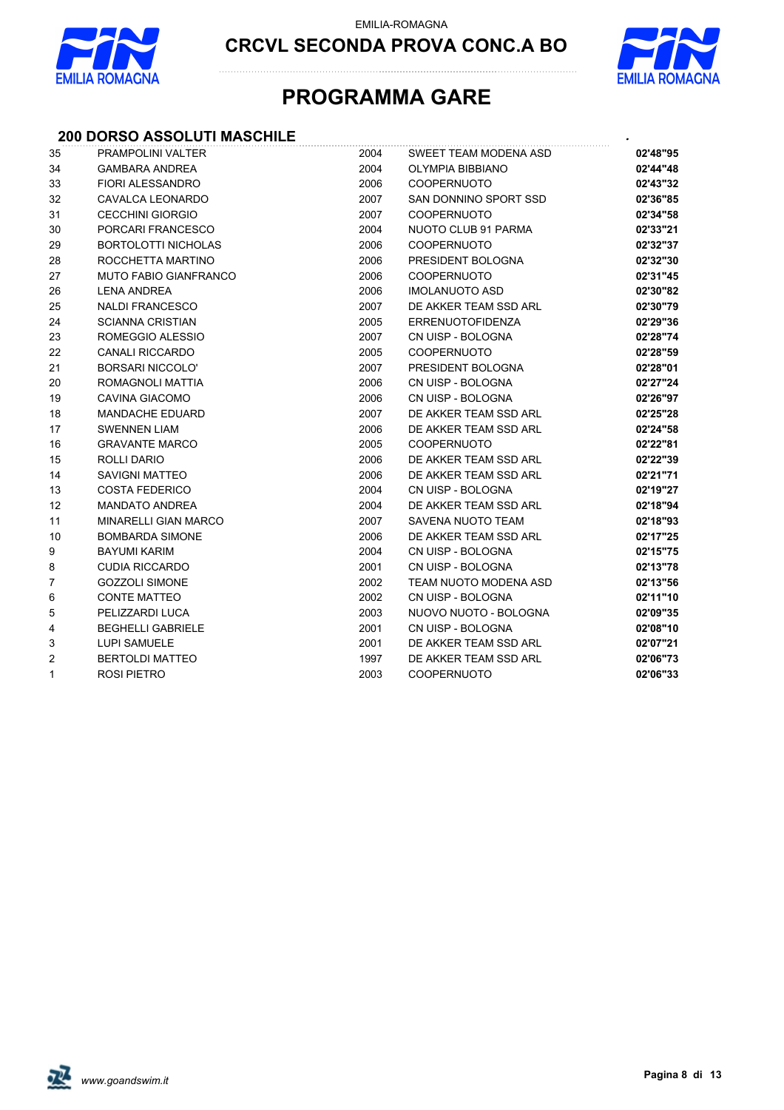



## **PROGRAMMA GARE**

#### **200 DORSO ASSOLUTI MASCHILE** *.*

| 35             | <b>PRAMPOLINI VALTER</b>     | 2004 | SWEET TEAM MODENA ASD   | 02'48"95 |
|----------------|------------------------------|------|-------------------------|----------|
| 34             | <b>GAMBARA ANDREA</b>        | 2004 | <b>OLYMPIA BIBBIANO</b> | 02'44"48 |
| 33             | <b>FIORI ALESSANDRO</b>      | 2006 | <b>COOPERNUOTO</b>      | 02'43"32 |
| 32             | CAVALCA LEONARDO             | 2007 | SAN DONNINO SPORT SSD   | 02'36"85 |
| 31             | <b>CECCHINI GIORGIO</b>      | 2007 | <b>COOPERNUOTO</b>      | 02'34"58 |
| 30             | PORCARI FRANCESCO            | 2004 | NUOTO CLUB 91 PARMA     | 02'33"21 |
| 29             | <b>BORTOLOTTI NICHOLAS</b>   | 2006 | <b>COOPERNUOTO</b>      | 02'32"37 |
| 28             | ROCCHETTA MARTINO            | 2006 | PRESIDENT BOLOGNA       | 02'32"30 |
| 27             | <b>MUTO FABIO GIANFRANCO</b> | 2006 | <b>COOPERNUOTO</b>      | 02'31"45 |
| 26             | <b>LENA ANDREA</b>           | 2006 | <b>IMOLANUOTO ASD</b>   | 02'30"82 |
| 25             | <b>NALDI FRANCESCO</b>       | 2007 | DE AKKER TEAM SSD ARL   | 02'30"79 |
| 24             | <b>SCIANNA CRISTIAN</b>      | 2005 | <b>ERRENUOTOFIDENZA</b> | 02'29"36 |
| 23             | ROMEGGIO ALESSIO             | 2007 | CN UISP - BOLOGNA       | 02'28"74 |
| 22             | <b>CANALI RICCARDO</b>       | 2005 | <b>COOPERNUOTO</b>      | 02'28"59 |
| 21             | <b>BORSARI NICCOLO'</b>      | 2007 | PRESIDENT BOLOGNA       | 02'28"01 |
| 20             | ROMAGNOLI MATTIA             | 2006 | CN UISP - BOLOGNA       | 02'27"24 |
| 19             | <b>CAVINA GIACOMO</b>        | 2006 | CN UISP - BOLOGNA       | 02'26"97 |
| 18             | <b>MANDACHE EDUARD</b>       | 2007 | DE AKKER TEAM SSD ARL   | 02'25"28 |
| 17             | <b>SWENNEN LIAM</b>          | 2006 | DE AKKER TEAM SSD ARL   | 02'24"58 |
| 16             | <b>GRAVANTE MARCO</b>        | 2005 | <b>COOPERNUOTO</b>      | 02'22"81 |
| 15             | <b>ROLLI DARIO</b>           | 2006 | DE AKKER TEAM SSD ARL   | 02'22"39 |
| 14             | <b>SAVIGNI MATTEO</b>        | 2006 | DE AKKER TEAM SSD ARL   | 02'21"71 |
| 13             | <b>COSTA FEDERICO</b>        | 2004 | CN UISP - BOLOGNA       | 02'19"27 |
| 12             | <b>MANDATO ANDREA</b>        | 2004 | DE AKKER TEAM SSD ARL   | 02'18"94 |
| 11             | <b>MINARELLI GIAN MARCO</b>  | 2007 | SAVENA NUOTO TEAM       | 02'18"93 |
| 10             | <b>BOMBARDA SIMONE</b>       | 2006 | DE AKKER TEAM SSD ARL   | 02'17"25 |
| 9              | <b>BAYUMI KARIM</b>          | 2004 | CN UISP - BOLOGNA       | 02'15"75 |
| 8              | <b>CUDIA RICCARDO</b>        | 2001 | CN UISP - BOLOGNA       | 02'13"78 |
| $\overline{7}$ | <b>GOZZOLI SIMONE</b>        | 2002 | TEAM NUOTO MODENA ASD   | 02'13"56 |
| 6              | <b>CONTE MATTEO</b>          | 2002 | CN UISP - BOLOGNA       | 02'11"10 |
| $\mathbf 5$    | PELIZZARDI LUCA              | 2003 | NUOVO NUOTO - BOLOGNA   | 02'09"35 |
| 4              | <b>BEGHELLI GABRIELE</b>     | 2001 | CN UISP - BOLOGNA       | 02'08"10 |
| 3              | <b>LUPI SAMUELE</b>          | 2001 | DE AKKER TEAM SSD ARL   | 02'07"21 |
| 2              | <b>BERTOLDI MATTEO</b>       | 1997 | DE AKKER TEAM SSD ARL   | 02'06"73 |
| 1              | <b>ROSI PIETRO</b>           | 2003 | <b>COOPERNUOTO</b>      | 02'06"33 |

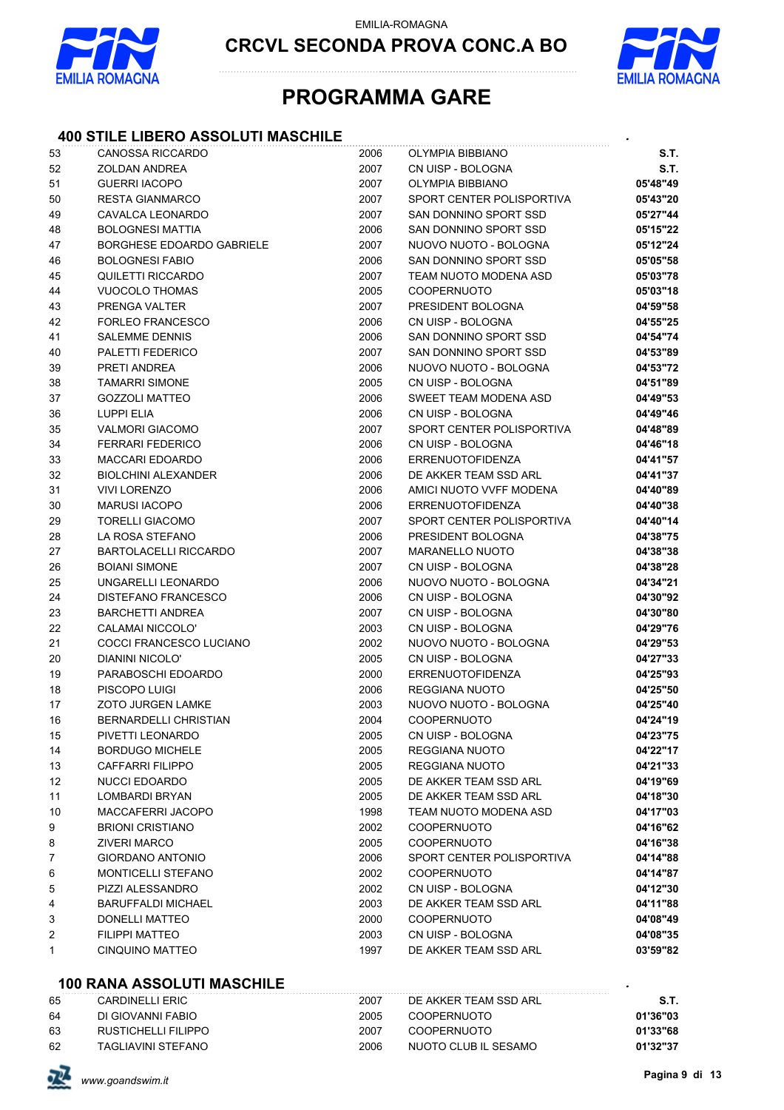

**CRCVL SECONDA PROVA CONC.A BO**



### **PROGRAMMA GARE**

#### **400 STILE LIBERO ASSOLUTI MASCHILE** *.*

| 53 | <b>CANOSSA RICCARDO</b>      | 2006 | OLYMPIA BIBBIANO          | <b>S.T.</b> |
|----|------------------------------|------|---------------------------|-------------|
| 52 | <b>ZOLDAN ANDREA</b>         | 2007 | CN UISP - BOLOGNA         | <b>S.T.</b> |
| 51 | <b>GUERRI IACOPO</b>         | 2007 | <b>OLYMPIA BIBBIANO</b>   | 05'48"49    |
| 50 | <b>RESTA GIANMARCO</b>       | 2007 | SPORT CENTER POLISPORTIVA | 05'43"20    |
| 49 | CAVALCA LEONARDO             | 2007 | SAN DONNINO SPORT SSD     | 05'27"44    |
| 48 | <b>BOLOGNESI MATTIA</b>      | 2006 | SAN DONNINO SPORT SSD     | 05'15"22    |
| 47 | BORGHESE EDOARDO GABRIELE    | 2007 | NUOVO NUOTO - BOLOGNA     | 05'12"24    |
| 46 | <b>BOLOGNESI FABIO</b>       | 2006 | SAN DONNINO SPORT SSD     | 05'05"58    |
| 45 | QUILETTI RICCARDO            | 2007 | TEAM NUOTO MODENA ASD     | 05'03"78    |
| 44 | <b>VUOCOLO THOMAS</b>        | 2005 | <b>COOPERNUOTO</b>        | 05'03"18    |
| 43 | PRENGA VALTER                | 2007 | PRESIDENT BOLOGNA         | 04'59"58    |
| 42 | <b>FORLEO FRANCESCO</b>      | 2006 | CN UISP - BOLOGNA         | 04'55"25    |
| 41 | <b>SALEMME DENNIS</b>        | 2006 | SAN DONNINO SPORT SSD     | 04'54"74    |
| 40 | PALETTI FEDERICO             | 2007 | SAN DONNINO SPORT SSD     | 04'53"89    |
| 39 | PRETI ANDREA                 | 2006 | NUOVO NUOTO - BOLOGNA     | 04'53"72    |
| 38 | <b>TAMARRI SIMONE</b>        | 2005 | CN UISP - BOLOGNA         | 04'51"89    |
| 37 | <b>GOZZOLI MATTEO</b>        | 2006 | SWEET TEAM MODENA ASD     | 04'49"53    |
| 36 | LUPPI ELIA                   | 2006 | CN UISP - BOLOGNA         | 04'49"46    |
| 35 | <b>VALMORI GIACOMO</b>       | 2007 | SPORT CENTER POLISPORTIVA | 04'48"89    |
| 34 | <b>FERRARI FEDERICO</b>      | 2006 | CN UISP - BOLOGNA         | 04'46"18    |
| 33 | <b>MACCARI EDOARDO</b>       | 2006 | <b>ERRENUOTOFIDENZA</b>   | 04'41"57    |
| 32 | <b>BIOLCHINI ALEXANDER</b>   | 2006 | DE AKKER TEAM SSD ARL     | 04'41"37    |
| 31 | <b>VIVI LORENZO</b>          | 2006 | AMICI NUOTO VVFF MODENA   | 04'40"89    |
| 30 | <b>MARUSI IACOPO</b>         | 2006 | <b>ERRENUOTOFIDENZA</b>   | 04'40"38    |
| 29 | <b>TORELLI GIACOMO</b>       | 2007 | SPORT CENTER POLISPORTIVA | 04'40"14    |
| 28 | LA ROSA STEFANO              | 2006 | PRESIDENT BOLOGNA         | 04'38"75    |
| 27 | <b>BARTOLACELLI RICCARDO</b> | 2007 | <b>MARANELLO NUOTO</b>    | 04'38"38    |
| 26 | <b>BOIANI SIMONE</b>         | 2007 | CN UISP - BOLOGNA         | 04'38"28    |
| 25 | UNGARELLI LEONARDO           | 2006 | NUOVO NUOTO - BOLOGNA     | 04'34"21    |
| 24 | DISTEFANO FRANCESCO          | 2006 | CN UISP - BOLOGNA         | 04'30"92    |
| 23 | <b>BARCHETTI ANDREA</b>      | 2007 | CN UISP - BOLOGNA         | 04'30"80    |
| 22 | CALAMAI NICCOLO'             | 2003 | CN UISP - BOLOGNA         | 04'29"76    |
| 21 | COCCI FRANCESCO LUCIANO      | 2002 | NUOVO NUOTO - BOLOGNA     | 04'29"53    |
| 20 | DIANINI NICOLO'              | 2005 | CN UISP - BOLOGNA         | 04'27"33    |
| 19 | PARABOSCHI EDOARDO           | 2000 | <b>ERRENUOTOFIDENZA</b>   | 04'25"93    |
| 18 | PISCOPO LUIGI                | 2006 | <b>REGGIANA NUOTO</b>     | 04'25"50    |
| 17 | <b>ZOTO JURGEN LAMKE</b>     | 2003 | NUOVO NUOTO - BOLOGNA     | 04'25"40    |
| 16 | <b>BERNARDELLI CHRISTIAN</b> | 2004 | COOPERNUOTO               | 04'24"19    |
| 15 | PIVETTI LEONARDO             | 2005 | CN UISP - BOLOGNA         | 04'23"75    |
| 14 | <b>BORDUGO MICHELE</b>       | 2005 | <b>REGGIANA NUOTO</b>     | 04'22"17    |
| 13 | <b>CAFFARRI FILIPPO</b>      | 2005 | REGGIANA NUOTO            | 04'21"33    |
| 12 | NUCCI EDOARDO                | 2005 | DE AKKER TEAM SSD ARL     | 04'19"69    |
| 11 | <b>LOMBARDI BRYAN</b>        | 2005 | DE AKKER TEAM SSD ARL     | 04'18"30    |
| 10 | MACCAFERRI JACOPO            | 1998 | TEAM NUOTO MODENA ASD     | 04'17"03    |
| 9  | <b>BRIONI CRISTIANO</b>      | 2002 | <b>COOPERNUOTO</b>        | 04'16"62    |
| 8  | <b>ZIVERI MARCO</b>          | 2005 | <b>COOPERNUOTO</b>        | 04'16"38    |
| 7  | GIORDANO ANTONIO             | 2006 | SPORT CENTER POLISPORTIVA | 04'14"88    |
| 6  | <b>MONTICELLI STEFANO</b>    | 2002 | <b>COOPERNUOTO</b>        | 04'14"87    |
| 5  | PIZZI ALESSANDRO             | 2002 | CN UISP - BOLOGNA         | 04'12"30    |
| 4  | <b>BARUFFALDI MICHAEL</b>    | 2003 | DE AKKER TEAM SSD ARL     | 04'11"88    |
| 3  | DONELLI MATTEO               | 2000 | <b>COOPERNUOTO</b>        | 04'08"49    |
| 2  | <b>FILIPPI MATTEO</b>        | 2003 | CN UISP - BOLOGNA         | 04'08"35    |
| 1  | <b>CINQUINO MATTEO</b>       | 1997 | DE AKKER TEAM SSD ARL     | 03'59"82    |

#### **100 RANA ASSOLUTI MASCHILE** *.*

| 65 | CARDINELLI FRIC     | 2007 | DE AKKER TEAM SSD ARI | - S.T.   |
|----|---------------------|------|-----------------------|----------|
| 64 | DI GIOVANNI FABIO   | 2005 | COOPERNUOTO           | 01'36"03 |
| 63 | RUSTICHELLI FILIPPO | 2007 | COOPFRNUOTO           | 01'33"68 |
| 62 | TAGLIAVINI STEFANO  | 2006 | NUOTO CLUB IL SESAMO  | 01'32"37 |

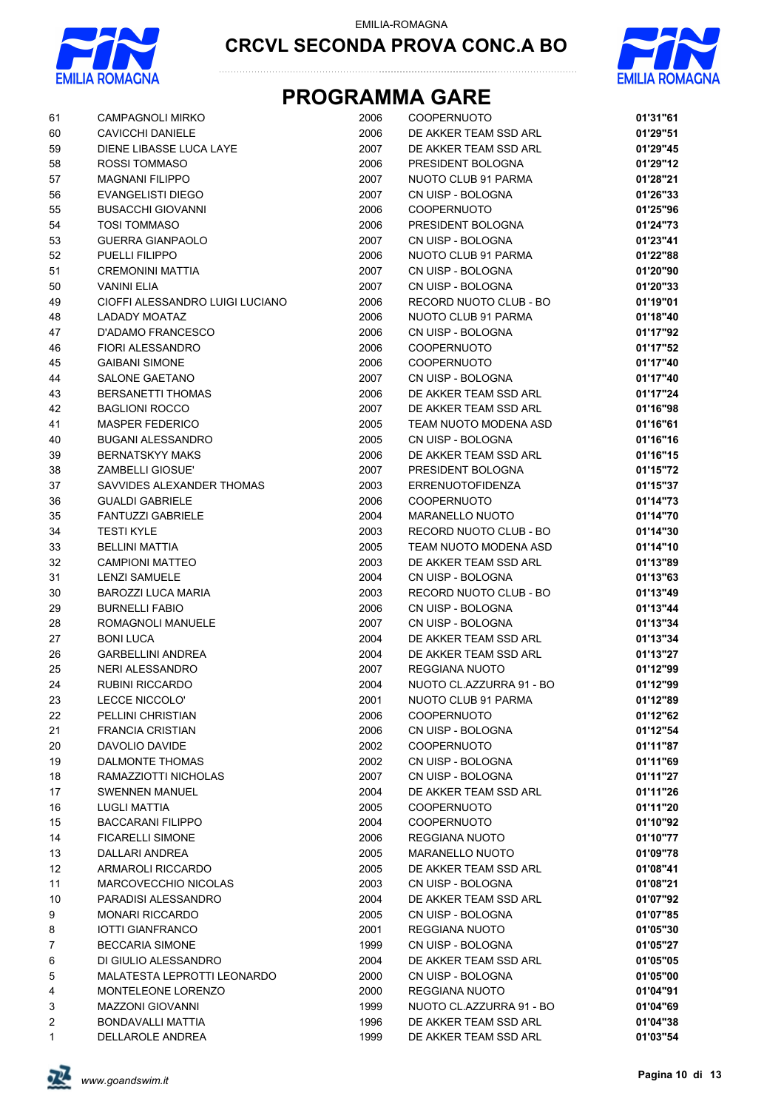





| 61             | <b>CAMPAGNOLI MIRKO</b>            | 2006         | COOPERNUOTO                             | 01'31"61 |
|----------------|------------------------------------|--------------|-----------------------------------------|----------|
| 60             | CAVICCHI DANIELE                   | 2006         | DE AKKER TEAM SSD ARL                   | 01'29"51 |
| 59             | DIENE LIBASSE LUCA LAYE            | 2007         | DE AKKER TEAM SSD ARL                   | 01'29"45 |
| 58             | <b>ROSSI TOMMASO</b>               | 2006         | PRESIDENT BOLOGNA                       | 01'29"12 |
| 57             | <b>MAGNANI FILIPPO</b>             | 2007         | NUOTO CLUB 91 PARMA                     | 01'28"21 |
| 56             | <b>EVANGELISTI DIEGO</b>           | 2007         | CN UISP - BOLOGNA                       | 01'26"33 |
| 55             | <b>BUSACCHI GIOVANNI</b>           | 2006         | <b>COOPERNUOTO</b>                      | 01'25"96 |
| 54             | <b>TOSI TOMMASO</b>                | 2006         | PRESIDENT BOLOGNA                       | 01'24"73 |
| 53             | <b>GUERRA GIANPAOLO</b>            | 2007         | CN UISP - BOLOGNA                       | 01'23"41 |
| 52             | PUELLI FILIPPO                     | 2006         | NUOTO CLUB 91 PARMA                     | 01'22"88 |
| 51             | <b>CREMONINI MATTIA</b>            | 2007         | CN UISP - BOLOGNA                       | 01'20"90 |
| 50             | <b>VANINI ELIA</b>                 | 2007         | CN UISP - BOLOGNA                       | 01'20"33 |
| 49             | CIOFFI ALESSANDRO LUIGI LUCIANO    | 2006         | RECORD NUOTO CLUB - BO                  | 01'19"01 |
| 48             | LADADY MOATAZ                      | 2006         | NUOTO CLUB 91 PARMA                     | 01'18"40 |
| 47             | D'ADAMO FRANCESCO                  | 2006         | CN UISP - BOLOGNA                       | 01'17"92 |
| 46             | FIORI ALESSANDRO                   | 2006         | <b>COOPERNUOTO</b>                      | 01'17"52 |
| 45             | <b>GAIBANI SIMONE</b>              | 2006         | <b>COOPERNUOTO</b>                      | 01'17"40 |
| 44             | <b>SALONE GAETANO</b>              | 2007         | CN UISP - BOLOGNA                       | 01'17"40 |
| 43             | <b>BERSANETTI THOMAS</b>           | 2006         | DE AKKER TEAM SSD ARL                   | 01'17"24 |
| 42             | <b>BAGLIONI ROCCO</b>              | 2007         | DE AKKER TEAM SSD ARL                   | 01'16"98 |
| 41             | <b>MASPER FEDERICO</b>             | 2005         | TEAM NUOTO MODENA ASD                   | 01'16"61 |
| 40             | BUGANI ALESSANDRO                  | 2005         | CN UISP - BOLOGNA                       | 01'16"16 |
| 39             | <b>BERNATSKYY MAKS</b>             | 2006         | DE AKKER TEAM SSD ARL                   | 01'16"15 |
| 38             | <b>ZAMBELLI GIOSUE'</b>            | 2007         | PRESIDENT BOLOGNA                       | 01'15"72 |
| 37             | SAVVIDES ALEXANDER THOMAS          | 2003         | <b>ERRENUOTOFIDENZA</b>                 | 01'15"37 |
| 36             | <b>GUALDI GABRIELE</b>             | 2006         | <b>COOPERNUOTO</b>                      | 01'14"73 |
| 35             | <b>FANTUZZI GABRIELE</b>           | 2004         | <b>MARANELLO NUOTO</b>                  | 01'14"70 |
| 34             | <b>TESTI KYLE</b>                  | 2003         | RECORD NUOTO CLUB - BO                  | 01'14"30 |
| 33             | <b>BELLINI MATTIA</b>              | 2005         | TEAM NUOTO MODENA ASD                   | 01'14"10 |
| 32             | <b>CAMPIONI MATTEO</b>             | 2003         | DE AKKER TEAM SSD ARL                   | 01'13"89 |
| 31             | <b>LENZI SAMUELE</b>               | 2004         | CN UISP - BOLOGNA                       | 01'13"63 |
| 30             | <b>BAROZZI LUCA MARIA</b>          | 2003         | RECORD NUOTO CLUB - BO                  | 01'13"49 |
| 29             | <b>BURNELLI FABIO</b>              | 2006         | CN UISP - BOLOGNA                       | 01'13"44 |
| 28             | ROMAGNOLI MANUELE                  | 2007         | CN UISP - BOLOGNA                       | 01'13"34 |
| 27             | <b>BONI LUCA</b>                   | 2004         | DE AKKER TEAM SSD ARL                   | 01'13"34 |
| 26             | <b>GARBELLINI ANDREA</b>           | 2004         | DE AKKER TEAM SSD ARL                   | 01'13"27 |
| 25             | NERI ALESSANDRO                    | 2007         | REGGIANA NUOTO                          | 01'12"99 |
| 24             | <b>RUBINI RICCARDO</b>             | 2004         | NUOTO CL.AZZURRA 91 - BO                | 01'12"99 |
| 23             | LECCE NICCOLO'                     |              | NUOTO CLUB 91 PARMA                     | 01'12"89 |
| 22             | PELLINI CHRISTIAN                  | 2001         | <b>COOPERNUOTO</b>                      | 01'12"62 |
| 21             | <b>FRANCIA CRISTIAN</b>            | 2006<br>2006 | CN UISP - BOLOGNA                       | 01'12"54 |
|                | DAVOLIO DAVIDE                     |              |                                         |          |
| 20             |                                    | 2002         | <b>COOPERNUOTO</b><br>CN UISP - BOLOGNA | 01'11"87 |
| 19             | DALMONTE THOMAS                    | 2002         |                                         | 01'11"69 |
| 18             | RAMAZZIOTTI NICHOLAS               | 2007         | CN UISP - BOLOGNA                       | 01'11"27 |
| 17             | <b>SWENNEN MANUEL</b>              | 2004         | DE AKKER TEAM SSD ARL                   | 01'11"26 |
| 16             | <b>LUGLI MATTIA</b>                | 2005         | <b>COOPERNUOTO</b>                      | 01'11"20 |
| 15             | <b>BACCARANI FILIPPO</b>           | 2004         | <b>COOPERNUOTO</b>                      | 01'10"92 |
| 14             | <b>FICARELLI SIMONE</b>            | 2006         | REGGIANA NUOTO                          | 01'10"77 |
| 13             | <b>DALLARI ANDREA</b>              | 2005         | <b>MARANELLO NUOTO</b>                  | 01'09"78 |
| 12             | ARMAROLI RICCARDO                  | 2005         | DE AKKER TEAM SSD ARL                   | 01'08"41 |
| 11             | <b>MARCOVECCHIO NICOLAS</b>        | 2003         | CN UISP - BOLOGNA                       | 01'08"21 |
| 10             | PARADISI ALESSANDRO                | 2004         | DE AKKER TEAM SSD ARL                   | 01'07"92 |
| 9              | <b>MONARI RICCARDO</b>             | 2005         | CN UISP - BOLOGNA                       | 01'07"85 |
| 8              | <b>IOTTI GIANFRANCO</b>            | 2001         | REGGIANA NUOTO                          | 01'05"30 |
| $\overline{7}$ | <b>BECCARIA SIMONE</b>             | 1999         | CN UISP - BOLOGNA                       | 01'05"27 |
| 6              | DI GIULIO ALESSANDRO               | 2004         | DE AKKER TEAM SSD ARL                   | 01'05"05 |
| 5              | <b>MALATESTA LEPROTTI LEONARDO</b> | 2000         | CN UISP - BOLOGNA                       | 01'05"00 |
| 4              | MONTELEONE LORENZO                 | 2000         | REGGIANA NUOTO                          | 01'04"91 |
| 3              | <b>MAZZONI GIOVANNI</b>            | 1999         | NUOTO CL.AZZURRA 91 - BO                | 01'04"69 |
| $\overline{2}$ | BONDAVALLI MATTIA                  | 1996         | DE AKKER TEAM SSD ARL                   | 01'04"38 |
| $\overline{1}$ | DELLAROLE ANDREA                   | 1999         | DE AKKER TEAM SSD ARL                   | 01'03"54 |

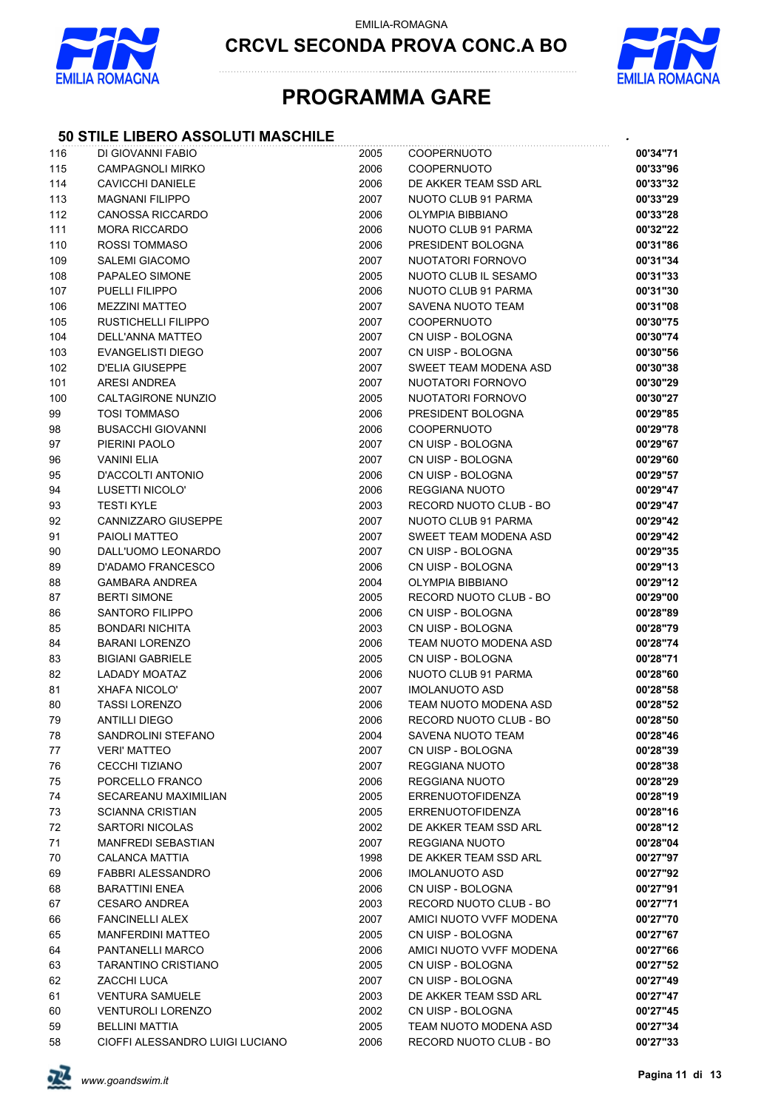

**CRCVL SECONDA PROVA CONC.A BO**



### **PROGRAMMA GARE**

#### **50 STILE LIBERO ASSOLUTI MASCHILE** *.*

| 116    | DI GIOVANNI FABIO               | 2005 | COOPERNUOTO             | 00'34"71 |
|--------|---------------------------------|------|-------------------------|----------|
| 115    | <b>CAMPAGNOLI MIRKO</b>         | 2006 | <b>COOPERNUOTO</b>      | 00'33"96 |
| 114    | <b>CAVICCHI DANIELE</b>         | 2006 | DE AKKER TEAM SSD ARL   | 00'33"32 |
| 113    | <b>MAGNANI FILIPPO</b>          | 2007 | NUOTO CLUB 91 PARMA     | 00'33"29 |
| 112    | <b>CANOSSA RICCARDO</b>         | 2006 | <b>OLYMPIA BIBBIANO</b> | 00'33"28 |
| 111    | <b>MORA RICCARDO</b>            | 2006 | NUOTO CLUB 91 PARMA     | 00'32"22 |
| 110    | ROSSI TOMMASO                   | 2006 | PRESIDENT BOLOGNA       | 00'31"86 |
| 109    | SALEMI GIACOMO                  | 2007 | NUOTATORI FORNOVO       | 00'31"34 |
| 108    | PAPALEO SIMONE                  | 2005 | NUOTO CLUB IL SESAMO    | 00'31"33 |
| 107    | PUELLI FILIPPO                  | 2006 | NUOTO CLUB 91 PARMA     | 00'31"30 |
| 106    | <b>MEZZINI MATTEO</b>           | 2007 | SAVENA NUOTO TEAM       | 00'31"08 |
| 105    | RUSTICHELLI FILIPPO             | 2007 | <b>COOPERNUOTO</b>      | 00'30"75 |
| 104    | DELL'ANNA MATTEO                | 2007 | CN UISP - BOLOGNA       | 00'30"74 |
| 103    | <b>EVANGELISTI DIEGO</b>        | 2007 | CN UISP - BOLOGNA       | 00'30"56 |
| 102    | <b>D'ELIA GIUSEPPE</b>          | 2007 | SWEET TEAM MODENA ASD   | 00'30"38 |
| 101    | ARESI ANDREA                    | 2007 | NUOTATORI FORNOVO       | 00'30"29 |
| 100    | CALTAGIRONE NUNZIO              | 2005 | NUOTATORI FORNOVO       | 00'30"27 |
| 99     | <b>TOSI TOMMASO</b>             | 2006 | PRESIDENT BOLOGNA       | 00'29"85 |
| 98     | <b>BUSACCHI GIOVANNI</b>        | 2006 | <b>COOPERNUOTO</b>      | 00'29"78 |
| 97     | PIERINI PAOLO                   | 2007 | CN UISP - BOLOGNA       | 00'29"67 |
| 96     | <b>VANINI ELIA</b>              | 2007 | CN UISP - BOLOGNA       | 00'29"60 |
| 95     | D'ACCOLTI ANTONIO               | 2006 | CN UISP - BOLOGNA       | 00'29"57 |
| 94     | LUSETTI NICOLO'                 | 2006 | REGGIANA NUOTO          | 00'29"47 |
| 93     | <b>TESTI KYLE</b>               | 2003 | RECORD NUOTO CLUB - BO  | 00'29"47 |
| 92     | CANNIZZARO GIUSEPPE             | 2007 | NUOTO CLUB 91 PARMA     | 00'29"42 |
| 91     | PAIOLI MATTEO                   | 2007 | SWEET TEAM MODENA ASD   | 00'29"42 |
| 90     | DALL'UOMO LEONARDO              | 2007 | CN UISP - BOLOGNA       | 00'29"35 |
| 89     | D'ADAMO FRANCESCO               | 2006 | CN UISP - BOLOGNA       | 00'29"13 |
| 88     | <b>GAMBARA ANDREA</b>           | 2004 | OLYMPIA BIBBIANO        | 00'29"12 |
| 87     | <b>BERTI SIMONE</b>             | 2005 | RECORD NUOTO CLUB - BO  | 00'29"00 |
| 86     | SANTORO FILIPPO                 | 2006 | CN UISP - BOLOGNA       | 00'28"89 |
| 85     | <b>BONDARI NICHITA</b>          | 2003 | CN UISP - BOLOGNA       | 00'28"79 |
| 84     | <b>BARANI LORENZO</b>           | 2006 | TEAM NUOTO MODENA ASD   | 00'28"74 |
| 83     | <b>BIGIANI GABRIELE</b>         | 2005 | CN UISP - BOLOGNA       | 00'28"71 |
| 82     | LADADY MOATAZ                   | 2006 | NUOTO CLUB 91 PARMA     | 00'28"60 |
| 81     | <b>XHAFA NICOLO'</b>            | 2007 | <b>IMOLANUOTO ASD</b>   | 00'28"58 |
| 80     | <b>TASSI LORENZO</b>            | 2006 | TEAM NUOTO MODENA ASD   | 00'28"52 |
| 79     | <b>ANTILLI DIEGO</b>            | 2006 | RECORD NUOTO CLUB - BO  | 00'28"50 |
| 78     | SANDROLINI STEFANO              | 2004 | SAVENA NUOTO TEAM       | 00'28"46 |
| 77     | <b>VERI' MATTEO</b>             | 2007 | CN UISP - BOLOGNA       | 00'28"39 |
| 76     | CECCHI TIZIANO                  | 2007 | REGGIANA NUOTO          | 00'28"38 |
| 75     | PORCELLO FRANCO                 | 2006 | REGGIANA NUOTO          | 00'28"29 |
| 74     | SECAREANU MAXIMILIAN            | 2005 | <b>ERRENUOTOFIDENZA</b> | 00'28"19 |
| 73     | <b>SCIANNA CRISTIAN</b>         | 2005 | <b>ERRENUOTOFIDENZA</b> | 00'28"16 |
| 72     | SARTORI NICOLAS                 | 2002 | DE AKKER TEAM SSD ARL   | 00'28"12 |
| 71     | MANFREDI SEBASTIAN              | 2007 | REGGIANA NUOTO          | 00'28"04 |
| $70\,$ | CALANCA MATTIA                  | 1998 | DE AKKER TEAM SSD ARL   | 00'27"97 |
| 69     | <b>FABBRI ALESSANDRO</b>        | 2006 | <b>IMOLANUOTO ASD</b>   | 00'27"92 |
| 68     | <b>BARATTINI ENEA</b>           | 2006 | CN UISP - BOLOGNA       | 00'27"91 |
| 67     | <b>CESARO ANDREA</b>            | 2003 | RECORD NUOTO CLUB - BO  | 00'27"71 |
| 66     | <b>FANCINELLI ALEX</b>          | 2007 | AMICI NUOTO VVFF MODENA | 00'27"70 |
| 65     | <b>MANFERDINI MATTEO</b>        | 2005 | CN UISP - BOLOGNA       | 00'27"67 |
| 64     | PANTANELLI MARCO                | 2006 | AMICI NUOTO VVFF MODENA | 00'27"66 |
| 63     | <b>TARANTINO CRISTIANO</b>      | 2005 | CN UISP - BOLOGNA       | 00'27"52 |
| 62     | ZACCHI LUCA                     | 2007 | CN UISP - BOLOGNA       | 00'27"49 |
| 61     | <b>VENTURA SAMUELE</b>          | 2003 | DE AKKER TEAM SSD ARL   | 00'27"47 |
| 60     | <b>VENTUROLI LORENZO</b>        | 2002 | CN UISP - BOLOGNA       | 00'27"45 |
| 59     | <b>BELLINI MATTIA</b>           | 2005 | TEAM NUOTO MODENA ASD   | 00'27"34 |
| 58     | CIOFFI ALESSANDRO LUIGI LUCIANO | 2006 | RECORD NUOTO CLUB - BO  | 00'27"33 |

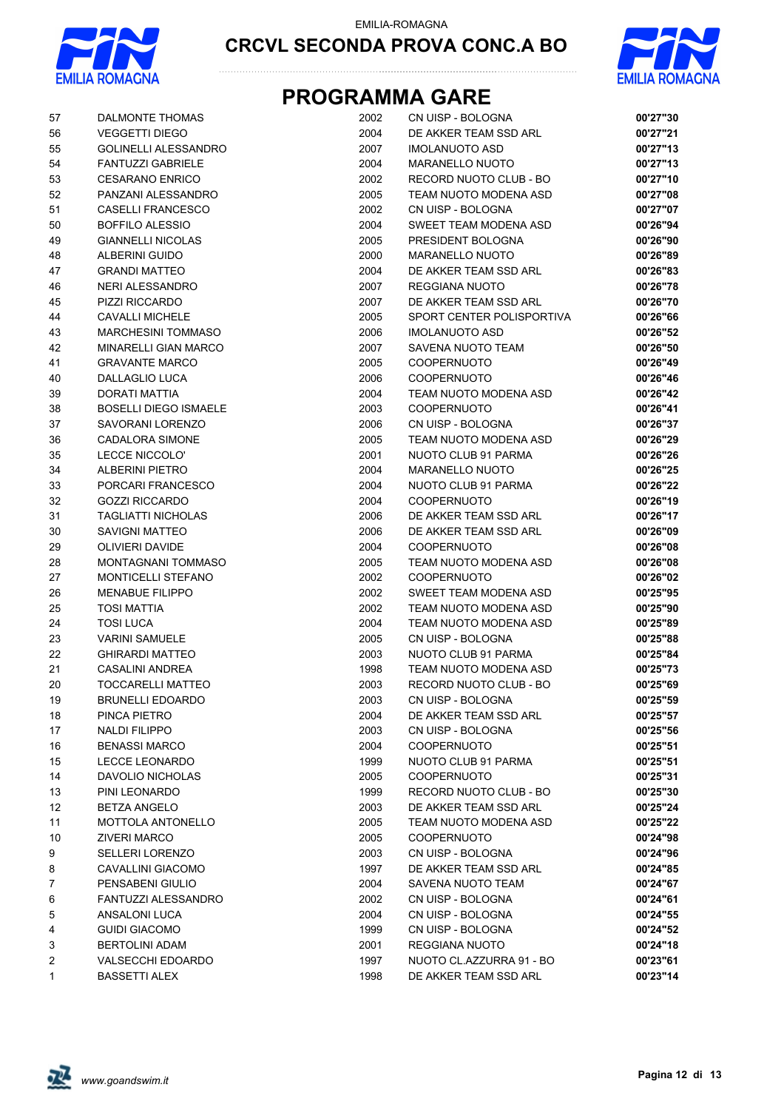



| 57             | DALMONTE THOMAS              | 2002 | CN UISP - BOLOGNA         | 00'27"30 |
|----------------|------------------------------|------|---------------------------|----------|
| 56             | <b>VEGGETTI DIEGO</b>        | 2004 | DE AKKER TEAM SSD ARL     | 00'27"21 |
| 55             | <b>GOLINELLI ALESSANDRO</b>  | 2007 | <b>IMOLANUOTO ASD</b>     | 00'27"13 |
| 54             | <b>FANTUZZI GABRIELE</b>     | 2004 | <b>MARANELLO NUOTO</b>    | 00'27"13 |
| 53             | <b>CESARANO ENRICO</b>       | 2002 | RECORD NUOTO CLUB - BO    | 00'27"10 |
| 52             | PANZANI ALESSANDRO           | 2005 | TEAM NUOTO MODENA ASD     | 00'27"08 |
| 51             | <b>CASELLI FRANCESCO</b>     | 2002 | CN UISP - BOLOGNA         | 00'27"07 |
| 50             | <b>BOFFILO ALESSIO</b>       | 2004 | SWEET TEAM MODENA ASD     | 00'26"94 |
| 49             | <b>GIANNELLI NICOLAS</b>     | 2005 | PRESIDENT BOLOGNA         | 00'26"90 |
| 48             | ALBERINI GUIDO               | 2000 | <b>MARANELLO NUOTO</b>    | 00'26"89 |
| 47             | <b>GRANDI MATTEO</b>         | 2004 | DE AKKER TEAM SSD ARL     | 00'26"83 |
| 46             | <b>NERI ALESSANDRO</b>       | 2007 | REGGIANA NUOTO            | 00'26"78 |
| 45             | PIZZI RICCARDO               | 2007 | DE AKKER TEAM SSD ARL     | 00'26"70 |
| 44             | <b>CAVALLI MICHELE</b>       | 2005 | SPORT CENTER POLISPORTIVA | 00'26"66 |
| 43             | <b>MARCHESINI TOMMASO</b>    | 2006 | <b>IMOLANUOTO ASD</b>     | 00'26"52 |
| 42             | <b>MINARELLI GIAN MARCO</b>  | 2007 | SAVENA NUOTO TEAM         | 00'26"50 |
| 41             | <b>GRAVANTE MARCO</b>        | 2005 | <b>COOPERNUOTO</b>        | 00'26"49 |
| 40             | <b>DALLAGLIO LUCA</b>        | 2006 | <b>COOPERNUOTO</b>        | 00'26"46 |
| 39             | <b>DORATI MATTIA</b>         | 2004 | TEAM NUOTO MODENA ASD     | 00'26"42 |
| 38             | <b>BOSELLI DIEGO ISMAELE</b> | 2003 | <b>COOPERNUOTO</b>        | 00'26"41 |
| 37             | SAVORANI LORENZO             | 2006 | CN UISP - BOLOGNA         | 00'26"37 |
| 36             | <b>CADALORA SIMONE</b>       | 2005 | TEAM NUOTO MODENA ASD     | 00'26"29 |
| 35             | LECCE NICCOLO'               | 2001 | NUOTO CLUB 91 PARMA       | 00'26"26 |
| 34             | <b>ALBERINI PIETRO</b>       | 2004 | <b>MARANELLO NUOTO</b>    | 00'26"25 |
| 33             | PORCARI FRANCESCO            | 2004 | NUOTO CLUB 91 PARMA       | 00'26"22 |
| 32             | <b>GOZZI RICCARDO</b>        | 2004 | <b>COOPERNUOTO</b>        | 00'26"19 |
| 31             | <b>TAGLIATTI NICHOLAS</b>    | 2006 | DE AKKER TEAM SSD ARL     | 00'26"17 |
| 30             | <b>SAVIGNI MATTEO</b>        | 2006 | DE AKKER TEAM SSD ARL     | 00'26"09 |
| 29             | <b>OLIVIERI DAVIDE</b>       | 2004 | <b>COOPERNUOTO</b>        | 00'26"08 |
| 28             | MONTAGNANI TOMMASO           | 2005 | TEAM NUOTO MODENA ASD     | 00'26"08 |
| 27             | MONTICELLI STEFANO           | 2002 | <b>COOPERNUOTO</b>        | 00'26"02 |
| 26             | <b>MENABUE FILIPPO</b>       | 2002 | SWEET TEAM MODENA ASD     | 00'25"95 |
| 25             | <b>TOSI MATTIA</b>           | 2002 | TEAM NUOTO MODENA ASD     | 00'25"90 |
| 24             | <b>TOSI LUCA</b>             | 2004 | TEAM NUOTO MODENA ASD     | 00'25"89 |
| 23             | <b>VARINI SAMUELE</b>        | 2005 | CN UISP - BOLOGNA         | 00'25"88 |
| 22             | <b>GHIRARDI MATTEO</b>       | 2003 | NUOTO CLUB 91 PARMA       | 00'25"84 |
| 21             | <b>CASALINI ANDREA</b>       | 1998 | TEAM NUOTO MODENA ASD     | 00'25"73 |
| 20             | <b>TOCCARELLI MATTEO</b>     | 2003 | RECORD NUOTO CLUB - BO    | 00'25"69 |
| 19             | <b>BRUNELLI EDOARDO</b>      | 2003 | CN UISP - BOLOGNA         | 00'25"59 |
| 18             | PINCA PIETRO                 | 2004 | DE AKKER TEAM SSD ARL     | 00'25"57 |
| 17             | NALDI FILIPPO                | 2003 | CN UISP - BOLOGNA         | 00'25"56 |
| 16             | <b>BENASSI MARCO</b>         | 2004 | <b>COOPERNUOTO</b>        | 00'25"51 |
| 15             | <b>LECCE LEONARDO</b>        | 1999 | NUOTO CLUB 91 PARMA       | 00'25"51 |
| 14             | DAVOLIO NICHOLAS             | 2005 | <b>COOPERNUOTO</b>        | 00'25"31 |
| 13             | PINI LEONARDO                | 1999 | RECORD NUOTO CLUB - BO    | 00'25"30 |
| 12             | <b>BETZA ANGELO</b>          | 2003 | DE AKKER TEAM SSD ARL     | 00'25"24 |
| 11             | <b>MOTTOLA ANTONELLO</b>     | 2005 | TEAM NUOTO MODENA ASD     | 00'25"22 |
| 10             | <b>ZIVERI MARCO</b>          | 2005 | <b>COOPERNUOTO</b>        | 00'24"98 |
| 9              | <b>SELLERI LORENZO</b>       | 2003 | CN UISP - BOLOGNA         | 00'24"96 |
| 8              | <b>CAVALLINI GIACOMO</b>     | 1997 | DE AKKER TEAM SSD ARL     | 00'24"85 |
| $\overline{7}$ | PENSABENI GIULIO             | 2004 | SAVENA NUOTO TEAM         | 00'24"67 |
| 6              | FANTUZZI ALESSANDRO          | 2002 | CN UISP - BOLOGNA         | 00'24"61 |
| 5              | ANSALONI LUCA                | 2004 | CN UISP - BOLOGNA         | 00'24"55 |
| 4              | <b>GUIDI GIACOMO</b>         | 1999 | CN UISP - BOLOGNA         | 00'24"52 |
| 3              | <b>BERTOLINI ADAM</b>        | 2001 | REGGIANA NUOTO            | 00'24"18 |
| $\overline{2}$ | <b>VALSECCHI EDOARDO</b>     | 1997 | NUOTO CL.AZZURRA 91 - BO  | 00'23"61 |
| 1              | <b>BASSETTI ALEX</b>         | 1998 | DE AKKER TEAM SSD ARL     | 00'23"14 |